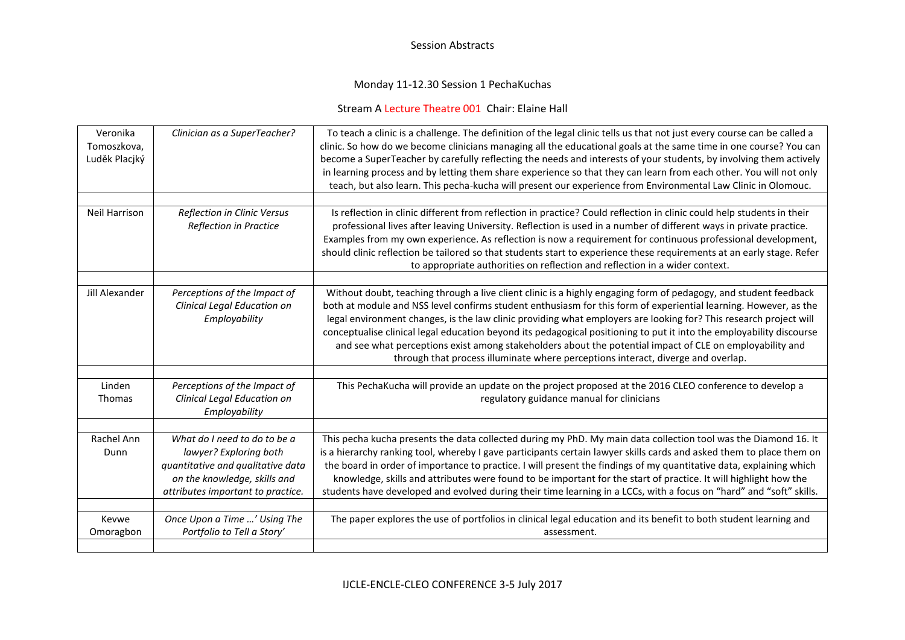# Monday 11-12.30 Session 1 PechaKuchas

### Stream A Lecture Theatre 001 Chair: Elaine Hall

| Veronika<br>Tomoszkova,<br>Luděk Placjký | Clinician as a SuperTeacher?                                                                                                                                     | To teach a clinic is a challenge. The definition of the legal clinic tells us that not just every course can be called a<br>clinic. So how do we become clinicians managing all the educational goals at the same time in one course? You can<br>become a SuperTeacher by carefully reflecting the needs and interests of your students, by involving them actively<br>in learning process and by letting them share experience so that they can learn from each other. You will not only<br>teach, but also learn. This pecha-kucha will present our experience from Environmental Law Clinic in Olomouc.                                                                        |
|------------------------------------------|------------------------------------------------------------------------------------------------------------------------------------------------------------------|-----------------------------------------------------------------------------------------------------------------------------------------------------------------------------------------------------------------------------------------------------------------------------------------------------------------------------------------------------------------------------------------------------------------------------------------------------------------------------------------------------------------------------------------------------------------------------------------------------------------------------------------------------------------------------------|
| Neil Harrison                            | Reflection in Clinic Versus<br><b>Reflection in Practice</b>                                                                                                     | Is reflection in clinic different from reflection in practice? Could reflection in clinic could help students in their<br>professional lives after leaving University. Reflection is used in a number of different ways in private practice.<br>Examples from my own experience. As reflection is now a requirement for continuous professional development,<br>should clinic reflection be tailored so that students start to experience these requirements at an early stage. Refer<br>to appropriate authorities on reflection and reflection in a wider context.                                                                                                              |
| Jill Alexander                           | Perceptions of the Impact of<br>Clinical Legal Education on<br>Employability                                                                                     | Without doubt, teaching through a live client clinic is a highly engaging form of pedagogy, and student feedback<br>both at module and NSS level confirms student enthusiasm for this form of experiential learning. However, as the<br>legal environment changes, is the law clinic providing what employers are looking for? This research project will<br>conceptualise clinical legal education beyond its pedagogical positioning to put it into the employability discourse<br>and see what perceptions exist among stakeholders about the potential impact of CLE on employability and<br>through that process illuminate where perceptions interact, diverge and overlap. |
| Linden<br>Thomas                         | Perceptions of the Impact of<br>Clinical Legal Education on<br>Employability                                                                                     | This PechaKucha will provide an update on the project proposed at the 2016 CLEO conference to develop a<br>regulatory guidance manual for clinicians                                                                                                                                                                                                                                                                                                                                                                                                                                                                                                                              |
| Rachel Ann<br>Dunn                       | What do I need to do to be a<br>lawyer? Exploring both<br>quantitative and qualitative data<br>on the knowledge, skills and<br>attributes important to practice. | This pecha kucha presents the data collected during my PhD. My main data collection tool was the Diamond 16. It<br>is a hierarchy ranking tool, whereby I gave participants certain lawyer skills cards and asked them to place them on<br>the board in order of importance to practice. I will present the findings of my quantitative data, explaining which<br>knowledge, skills and attributes were found to be important for the start of practice. It will highlight how the<br>students have developed and evolved during their time learning in a LCCs, with a focus on "hard" and "soft" skills.                                                                         |
| Kevwe<br>Omoragbon                       | Once Upon a Time ' Using The<br>Portfolio to Tell a Story'                                                                                                       | The paper explores the use of portfolios in clinical legal education and its benefit to both student learning and<br>assessment.                                                                                                                                                                                                                                                                                                                                                                                                                                                                                                                                                  |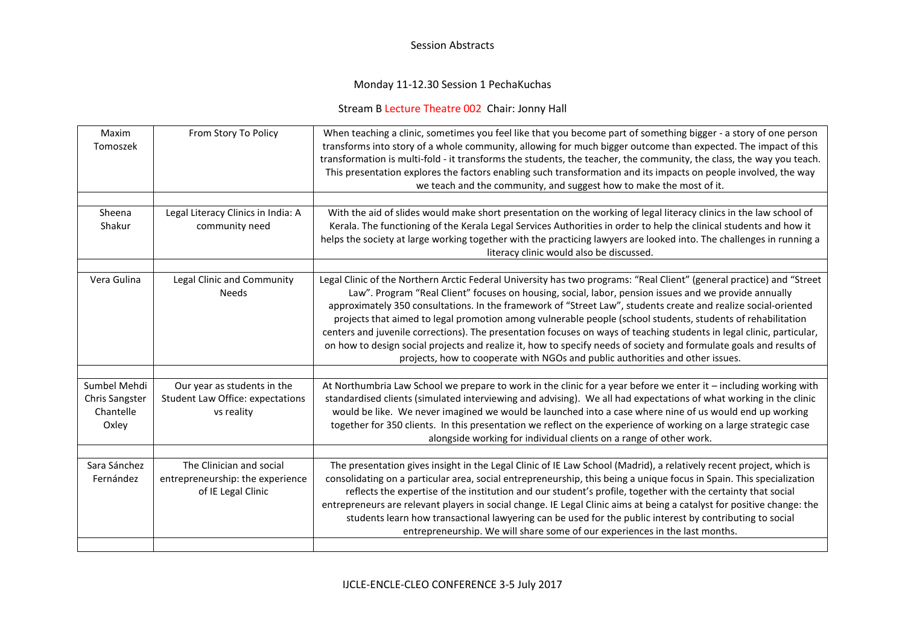### Monday 11-12.30 Session 1 PechaKuchas

# Stream B Lecture Theatre 002 Chair: Jonny Hall

| Maxim<br>Tomoszek                                    | From Story To Policy                                                                 | When teaching a clinic, sometimes you feel like that you become part of something bigger - a story of one person<br>transforms into story of a whole community, allowing for much bigger outcome than expected. The impact of this<br>transformation is multi-fold - it transforms the students, the teacher, the community, the class, the way you teach.<br>This presentation explores the factors enabling such transformation and its impacts on people involved, the way<br>we teach and the community, and suggest how to make the most of it.                                                                                                                                                                                                                                             |
|------------------------------------------------------|--------------------------------------------------------------------------------------|--------------------------------------------------------------------------------------------------------------------------------------------------------------------------------------------------------------------------------------------------------------------------------------------------------------------------------------------------------------------------------------------------------------------------------------------------------------------------------------------------------------------------------------------------------------------------------------------------------------------------------------------------------------------------------------------------------------------------------------------------------------------------------------------------|
| Sheena<br>Shakur                                     | Legal Literacy Clinics in India: A<br>community need                                 | With the aid of slides would make short presentation on the working of legal literacy clinics in the law school of<br>Kerala. The functioning of the Kerala Legal Services Authorities in order to help the clinical students and how it<br>helps the society at large working together with the practicing lawyers are looked into. The challenges in running a<br>literacy clinic would also be discussed.                                                                                                                                                                                                                                                                                                                                                                                     |
| Vera Gulina                                          | Legal Clinic and Community<br><b>Needs</b>                                           | Legal Clinic of the Northern Arctic Federal University has two programs: "Real Client" (general practice) and "Street<br>Law". Program "Real Client" focuses on housing, social, labor, pension issues and we provide annually<br>approximately 350 consultations. In the framework of "Street Law", students create and realize social-oriented<br>projects that aimed to legal promotion among vulnerable people (school students, students of rehabilitation<br>centers and juvenile corrections). The presentation focuses on ways of teaching students in legal clinic, particular,<br>on how to design social projects and realize it, how to specify needs of society and formulate goals and results of<br>projects, how to cooperate with NGOs and public authorities and other issues. |
| Sumbel Mehdi<br>Chris Sangster<br>Chantelle<br>Oxley | Our year as students in the<br><b>Student Law Office: expectations</b><br>vs reality | At Northumbria Law School we prepare to work in the clinic for a year before we enter it - including working with<br>standardised clients (simulated interviewing and advising). We all had expectations of what working in the clinic<br>would be like. We never imagined we would be launched into a case where nine of us would end up working<br>together for 350 clients. In this presentation we reflect on the experience of working on a large strategic case<br>alongside working for individual clients on a range of other work.                                                                                                                                                                                                                                                      |
| Sara Sánchez<br>Fernández                            | The Clinician and social<br>entrepreneurship: the experience<br>of IE Legal Clinic   | The presentation gives insight in the Legal Clinic of IE Law School (Madrid), a relatively recent project, which is<br>consolidating on a particular area, social entrepreneurship, this being a unique focus in Spain. This specialization<br>reflects the expertise of the institution and our student's profile, together with the certainty that social<br>entrepreneurs are relevant players in social change. IE Legal Clinic aims at being a catalyst for positive change: the<br>students learn how transactional lawyering can be used for the public interest by contributing to social<br>entrepreneurship. We will share some of our experiences in the last months.                                                                                                                 |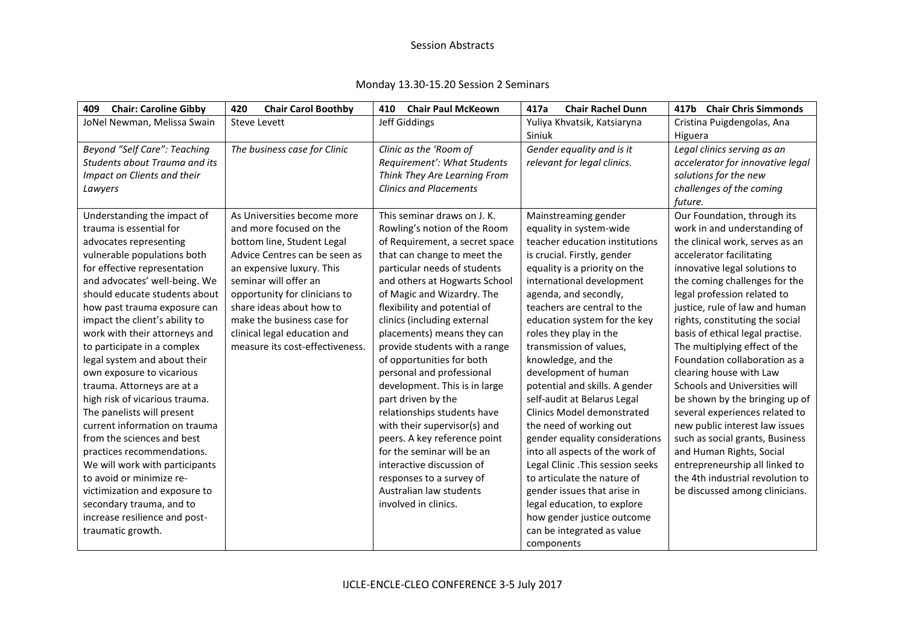| Monday 13.30-15.20 Session 2 Seminars |
|---------------------------------------|
|---------------------------------------|

| <b>Chair: Caroline Gibby</b><br>409 | 420<br><b>Chair Carol Boothby</b> | <b>Chair Paul McKeown</b><br>410 | 417a<br><b>Chair Rachel Dunn</b>  | 417b Chair Chris Simmonds        |
|-------------------------------------|-----------------------------------|----------------------------------|-----------------------------------|----------------------------------|
| JoNel Newman, Melissa Swain         | <b>Steve Levett</b>               | Jeff Giddings                    | Yuliya Khvatsik, Katsiaryna       | Cristina Puigdengolas, Ana       |
|                                     |                                   |                                  | Siniuk                            | Higuera                          |
| Beyond "Self Care": Teaching        | The business case for Clinic      | Clinic as the 'Room of           | Gender equality and is it         | Legal clinics serving as an      |
| Students about Trauma and its       |                                   | Requirement': What Students      | relevant for legal clinics.       | accelerator for innovative legal |
| Impact on Clients and their         |                                   | Think They Are Learning From     |                                   | solutions for the new            |
| Lawyers                             |                                   | <b>Clinics and Placements</b>    |                                   | challenges of the coming         |
|                                     |                                   |                                  |                                   | future.                          |
| Understanding the impact of         | As Universities become more       | This seminar draws on J. K.      | Mainstreaming gender              | Our Foundation, through its      |
| trauma is essential for             | and more focused on the           | Rowling's notion of the Room     | equality in system-wide           | work in and understanding of     |
| advocates representing              | bottom line, Student Legal        | of Requirement, a secret space   | teacher education institutions    | the clinical work, serves as an  |
| vulnerable populations both         | Advice Centres can be seen as     | that can change to meet the      | is crucial. Firstly, gender       | accelerator facilitating         |
| for effective representation        | an expensive luxury. This         | particular needs of students     | equality is a priority on the     | innovative legal solutions to    |
| and advocates' well-being. We       | seminar will offer an             | and others at Hogwarts School    | international development         | the coming challenges for the    |
| should educate students about       | opportunity for clinicians to     | of Magic and Wizardry. The       | agenda, and secondly,             | legal profession related to      |
| how past trauma exposure can        | share ideas about how to          | flexibility and potential of     | teachers are central to the       | justice, rule of law and human   |
| impact the client's ability to      | make the business case for        | clinics (including external      | education system for the key      | rights, constituting the social  |
| work with their attorneys and       | clinical legal education and      | placements) means they can       | roles they play in the            | basis of ethical legal practise. |
| to participate in a complex         | measure its cost-effectiveness.   | provide students with a range    | transmission of values,           | The multiplying effect of the    |
| legal system and about their        |                                   | of opportunities for both        | knowledge, and the                | Foundation collaboration as a    |
| own exposure to vicarious           |                                   | personal and professional        | development of human              | clearing house with Law          |
| trauma. Attorneys are at a          |                                   | development. This is in large    | potential and skills. A gender    | Schools and Universities will    |
| high risk of vicarious trauma.      |                                   | part driven by the               | self-audit at Belarus Legal       | be shown by the bringing up of   |
| The panelists will present          |                                   | relationships students have      | <b>Clinics Model demonstrated</b> | several experiences related to   |
| current information on trauma       |                                   | with their supervisor(s) and     | the need of working out           | new public interest law issues   |
| from the sciences and best          |                                   | peers. A key reference point     | gender equality considerations    | such as social grants, Business  |
| practices recommendations.          |                                   | for the seminar will be an       | into all aspects of the work of   | and Human Rights, Social         |
| We will work with participants      |                                   | interactive discussion of        | Legal Clinic . This session seeks | entrepreneurship all linked to   |
| to avoid or minimize re-            |                                   | responses to a survey of         | to articulate the nature of       | the 4th industrial revolution to |
| victimization and exposure to       |                                   | Australian law students          | gender issues that arise in       | be discussed among clinicians.   |
| secondary trauma, and to            |                                   | involved in clinics.             | legal education, to explore       |                                  |
| increase resilience and post-       |                                   |                                  | how gender justice outcome        |                                  |
| traumatic growth.                   |                                   |                                  | can be integrated as value        |                                  |
|                                     |                                   |                                  | components                        |                                  |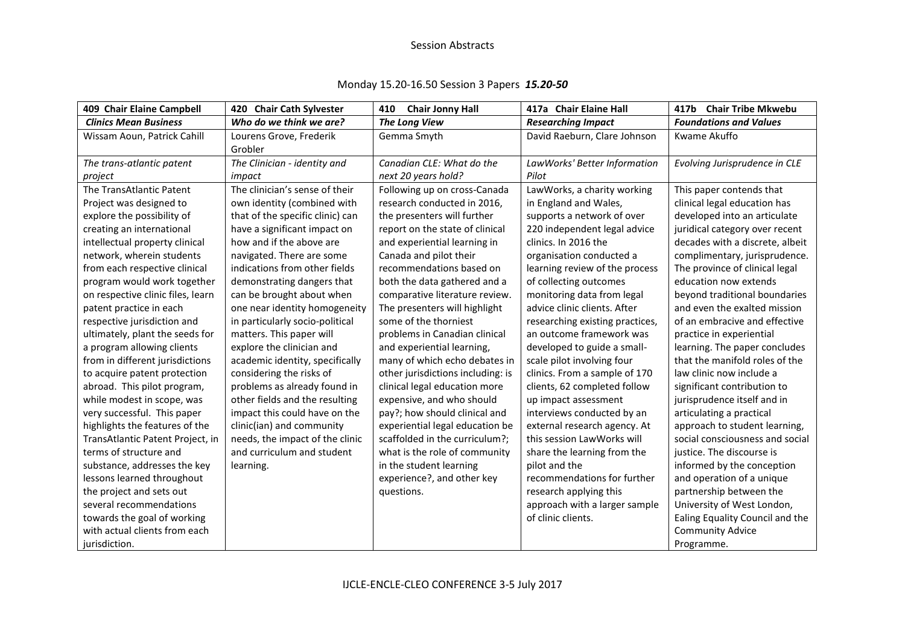# Monday 15.20-16.50 Session 3 Papers *15.20-50*

| 409 Chair Elaine Campbell         | 420 Chair Cath Sylvester         | <b>Chair Jonny Hall</b><br>410    | 417a Chair Elaine Hall          | 417b Chair Tribe Mkwebu         |
|-----------------------------------|----------------------------------|-----------------------------------|---------------------------------|---------------------------------|
| <b>Clinics Mean Business</b>      | Who do we think we are?          | <b>The Long View</b>              | <b>Researching Impact</b>       | <b>Foundations and Values</b>   |
| Wissam Aoun, Patrick Cahill       | Lourens Grove, Frederik          | Gemma Smyth                       | David Raeburn, Clare Johnson    | Kwame Akuffo                    |
|                                   | Grobler                          |                                   |                                 |                                 |
| The trans-atlantic patent         | The Clinician - identity and     | Canadian CLE: What do the         | LawWorks' Better Information    | Evolving Jurisprudence in CLE   |
| project                           | impact                           | next 20 years hold?               | Pilot                           |                                 |
| The TransAtlantic Patent          | The clinician's sense of their   | Following up on cross-Canada      | LawWorks, a charity working     | This paper contends that        |
| Project was designed to           | own identity (combined with      | research conducted in 2016,       | in England and Wales,           | clinical legal education has    |
| explore the possibility of        | that of the specific clinic) can | the presenters will further       | supports a network of over      | developed into an articulate    |
| creating an international         | have a significant impact on     | report on the state of clinical   | 220 independent legal advice    | juridical category over recent  |
| intellectual property clinical    | how and if the above are         | and experiential learning in      | clinics. In 2016 the            | decades with a discrete, albeit |
| network, wherein students         | navigated. There are some        | Canada and pilot their            | organisation conducted a        | complimentary, jurisprudence.   |
| from each respective clinical     | indications from other fields    | recommendations based on          | learning review of the process  | The province of clinical legal  |
| program would work together       | demonstrating dangers that       | both the data gathered and a      | of collecting outcomes          | education now extends           |
| on respective clinic files, learn | can be brought about when        | comparative literature review.    | monitoring data from legal      | beyond traditional boundaries   |
| patent practice in each           | one near identity homogeneity    | The presenters will highlight     | advice clinic clients. After    | and even the exalted mission    |
| respective jurisdiction and       | in particularly socio-political  | some of the thorniest             | researching existing practices, | of an embracive and effective   |
| ultimately, plant the seeds for   | matters. This paper will         | problems in Canadian clinical     | an outcome framework was        | practice in experiential        |
| a program allowing clients        | explore the clinician and        | and experiential learning,        | developed to guide a small-     | learning. The paper concludes   |
| from in different jurisdictions   | academic identity, specifically  | many of which echo debates in     | scale pilot involving four      | that the manifold roles of the  |
| to acquire patent protection      | considering the risks of         | other jurisdictions including: is | clinics. From a sample of 170   | law clinic now include a        |
| abroad. This pilot program,       | problems as already found in     | clinical legal education more     | clients, 62 completed follow    | significant contribution to     |
| while modest in scope, was        | other fields and the resulting   | expensive, and who should         | up impact assessment            | jurisprudence itself and in     |
| very successful. This paper       | impact this could have on the    | pay?; how should clinical and     | interviews conducted by an      | articulating a practical        |
| highlights the features of the    | clinic(ian) and community        | experiential legal education be   | external research agency. At    | approach to student learning,   |
| TransAtlantic Patent Project, in  | needs, the impact of the clinic  | scaffolded in the curriculum?;    | this session LawWorks will      | social consciousness and social |
| terms of structure and            | and curriculum and student       | what is the role of community     | share the learning from the     | justice. The discourse is       |
| substance, addresses the key      | learning.                        | in the student learning           | pilot and the                   | informed by the conception      |
| lessons learned throughout        |                                  | experience?, and other key        | recommendations for further     | and operation of a unique       |
| the project and sets out          |                                  | questions.                        | research applying this          | partnership between the         |
| several recommendations           |                                  |                                   | approach with a larger sample   | University of West London,      |
| towards the goal of working       |                                  |                                   | of clinic clients.              | Ealing Equality Council and the |
| with actual clients from each     |                                  |                                   |                                 | <b>Community Advice</b>         |
| jurisdiction.                     |                                  |                                   |                                 | Programme.                      |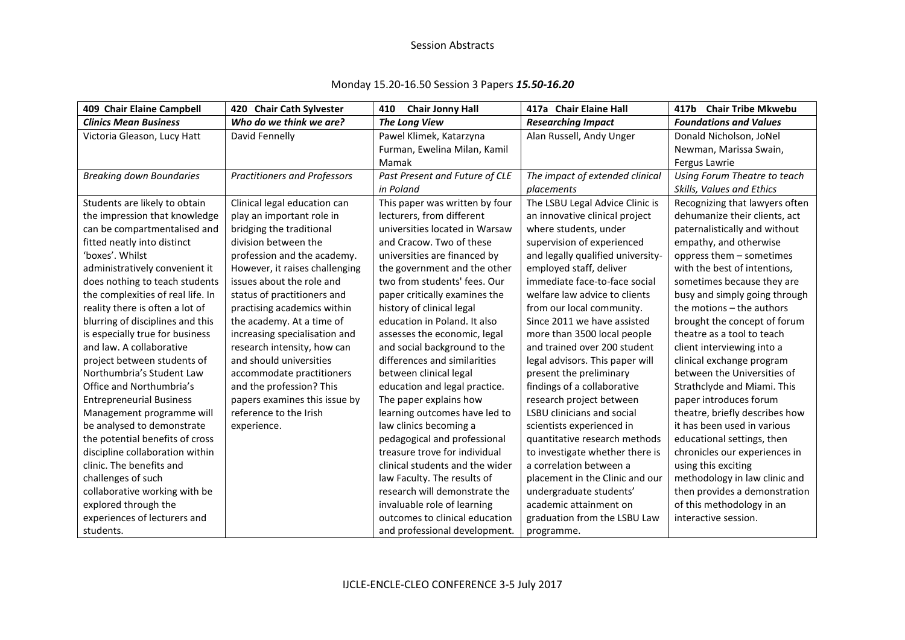| 409 Chair Elaine Campbell         | 420 Chair Cath Sylvester            | 410<br><b>Chair Jonny Hall</b>  | 417a Chair Elaine Hall            | 417b<br><b>Chair Tribe Mkwebu</b> |
|-----------------------------------|-------------------------------------|---------------------------------|-----------------------------------|-----------------------------------|
| <b>Clinics Mean Business</b>      | Who do we think we are?             | <b>The Long View</b>            | <b>Researching Impact</b>         | <b>Foundations and Values</b>     |
| Victoria Gleason, Lucy Hatt       | David Fennelly                      | Pawel Klimek, Katarzyna         | Alan Russell, Andy Unger          | Donald Nicholson, JoNel           |
|                                   |                                     | Furman, Ewelina Milan, Kamil    |                                   | Newman, Marissa Swain,            |
|                                   |                                     | Mamak                           |                                   | Fergus Lawrie                     |
| <b>Breaking down Boundaries</b>   | <b>Practitioners and Professors</b> | Past Present and Future of CLE  | The impact of extended clinical   | Using Forum Theatre to teach      |
|                                   |                                     | in Poland                       | placements                        | Skills, Values and Ethics         |
| Students are likely to obtain     | Clinical legal education can        | This paper was written by four  | The LSBU Legal Advice Clinic is   | Recognizing that lawyers often    |
| the impression that knowledge     | play an important role in           | lecturers, from different       | an innovative clinical project    | dehumanize their clients, act     |
| can be compartmentalised and      | bridging the traditional            | universities located in Warsaw  | where students, under             | paternalistically and without     |
| fitted neatly into distinct       | division between the                | and Cracow. Two of these        | supervision of experienced        | empathy, and otherwise            |
| 'boxes'. Whilst                   | profession and the academy.         | universities are financed by    | and legally qualified university- | oppress them - sometimes          |
| administratively convenient it    | However, it raises challenging      | the government and the other    | employed staff, deliver           | with the best of intentions,      |
| does nothing to teach students    | issues about the role and           | two from students' fees. Our    | immediate face-to-face social     | sometimes because they are        |
| the complexities of real life. In | status of practitioners and         | paper critically examines the   | welfare law advice to clients     | busy and simply going through     |
| reality there is often a lot of   | practising academics within         | history of clinical legal       | from our local community.         | the motions – the authors         |
| blurring of disciplines and this  | the academy. At a time of           | education in Poland. It also    | Since 2011 we have assisted       | brought the concept of forum      |
| is especially true for business   | increasing specialisation and       | assesses the economic, legal    | more than 3500 local people       | theatre as a tool to teach        |
| and law. A collaborative          | research intensity, how can         | and social background to the    | and trained over 200 student      | client interviewing into a        |
| project between students of       | and should universities             | differences and similarities    | legal advisors. This paper will   | clinical exchange program         |
| Northumbria's Student Law         | accommodate practitioners           | between clinical legal          | present the preliminary           | between the Universities of       |
| Office and Northumbria's          | and the profession? This            | education and legal practice.   | findings of a collaborative       | Strathclyde and Miami. This       |
| <b>Entrepreneurial Business</b>   | papers examines this issue by       | The paper explains how          | research project between          | paper introduces forum            |
| Management programme will         | reference to the Irish              | learning outcomes have led to   | <b>LSBU clinicians and social</b> | theatre, briefly describes how    |
| be analysed to demonstrate        | experience.                         | law clinics becoming a          | scientists experienced in         | it has been used in various       |
| the potential benefits of cross   |                                     | pedagogical and professional    | quantitative research methods     | educational settings, then        |
| discipline collaboration within   |                                     | treasure trove for individual   | to investigate whether there is   | chronicles our experiences in     |
| clinic. The benefits and          |                                     | clinical students and the wider | a correlation between a           | using this exciting               |
| challenges of such                |                                     | law Faculty. The results of     | placement in the Clinic and our   | methodology in law clinic and     |
| collaborative working with be     |                                     | research will demonstrate the   | undergraduate students'           | then provides a demonstration     |
| explored through the              |                                     | invaluable role of learning     | academic attainment on            | of this methodology in an         |
| experiences of lecturers and      |                                     | outcomes to clinical education  | graduation from the LSBU Law      | interactive session.              |
| students.                         |                                     | and professional development.   | programme.                        |                                   |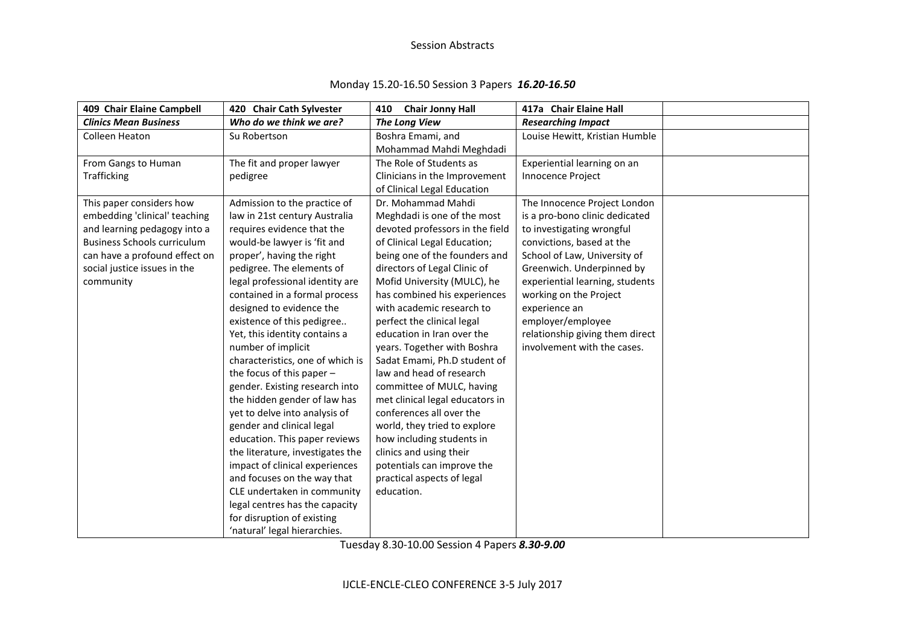| Monday 15.20-16.50 Session 3 Papers 16.20-16.50 |  |
|-------------------------------------------------|--|
|-------------------------------------------------|--|

| 409 Chair Elaine Campbell          | 420 Chair Cath Sylvester         | <b>Chair Jonny Hall</b><br>410  | 417a Chair Elaine Hall          |  |
|------------------------------------|----------------------------------|---------------------------------|---------------------------------|--|
| <b>Clinics Mean Business</b>       | Who do we think we are?          | <b>The Long View</b>            | <b>Researching Impact</b>       |  |
| Colleen Heaton                     | Su Robertson                     | Boshra Emami, and               | Louise Hewitt, Kristian Humble  |  |
|                                    |                                  | Mohammad Mahdi Meghdadi         |                                 |  |
| From Gangs to Human                | The fit and proper lawyer        | The Role of Students as         | Experiential learning on an     |  |
| Trafficking                        | pedigree                         | Clinicians in the Improvement   | Innocence Project               |  |
|                                    |                                  | of Clinical Legal Education     |                                 |  |
| This paper considers how           | Admission to the practice of     | Dr. Mohammad Mahdi              | The Innocence Project London    |  |
| embedding 'clinical' teaching      | law in 21st century Australia    | Meghdadi is one of the most     | is a pro-bono clinic dedicated  |  |
| and learning pedagogy into a       | requires evidence that the       | devoted professors in the field | to investigating wrongful       |  |
| <b>Business Schools curriculum</b> | would-be lawyer is 'fit and      | of Clinical Legal Education;    | convictions, based at the       |  |
| can have a profound effect on      | proper', having the right        | being one of the founders and   | School of Law, University of    |  |
| social justice issues in the       | pedigree. The elements of        | directors of Legal Clinic of    | Greenwich. Underpinned by       |  |
| community                          | legal professional identity are  | Mofid University (MULC), he     | experiential learning, students |  |
|                                    | contained in a formal process    | has combined his experiences    | working on the Project          |  |
|                                    | designed to evidence the         | with academic research to       | experience an                   |  |
|                                    | existence of this pedigree       | perfect the clinical legal      | employer/employee               |  |
|                                    | Yet, this identity contains a    | education in Iran over the      | relationship giving them direct |  |
|                                    | number of implicit               | years. Together with Boshra     | involvement with the cases.     |  |
|                                    | characteristics, one of which is | Sadat Emami, Ph.D student of    |                                 |  |
|                                    | the focus of this paper $-$      | law and head of research        |                                 |  |
|                                    | gender. Existing research into   | committee of MULC, having       |                                 |  |
|                                    | the hidden gender of law has     | met clinical legal educators in |                                 |  |
|                                    | yet to delve into analysis of    | conferences all over the        |                                 |  |
|                                    | gender and clinical legal        | world, they tried to explore    |                                 |  |
|                                    | education. This paper reviews    | how including students in       |                                 |  |
|                                    | the literature, investigates the | clinics and using their         |                                 |  |
|                                    | impact of clinical experiences   | potentials can improve the      |                                 |  |
|                                    | and focuses on the way that      | practical aspects of legal      |                                 |  |
|                                    | CLE undertaken in community      | education.                      |                                 |  |
|                                    | legal centres has the capacity   |                                 |                                 |  |
|                                    | for disruption of existing       |                                 |                                 |  |
|                                    | 'natural' legal hierarchies.     |                                 |                                 |  |

Tuesday 8.30-10.00 Session 4 Papers *8.30-9.00*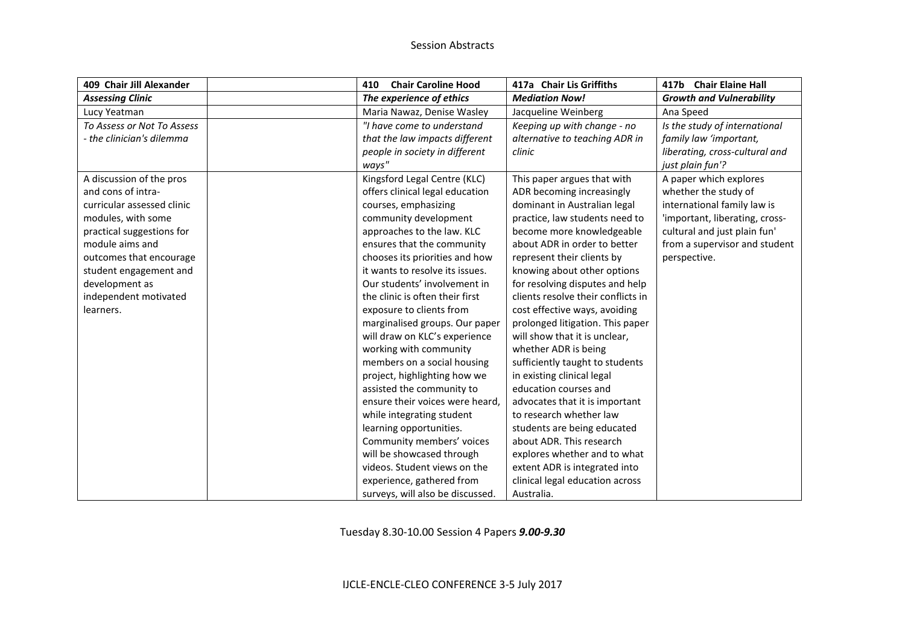| 409 Chair Jill Alexander   | <b>Chair Caroline Hood</b><br>410 | 417a Chair Lis Griffiths           | 417b Chair Elaine Hall          |
|----------------------------|-----------------------------------|------------------------------------|---------------------------------|
| <b>Assessing Clinic</b>    | The experience of ethics          | <b>Mediation Now!</b>              | <b>Growth and Vulnerability</b> |
| Lucy Yeatman               | Maria Nawaz, Denise Wasley        | Jacqueline Weinberg                | Ana Speed                       |
| To Assess or Not To Assess | "I have come to understand        | Keeping up with change - no        | Is the study of international   |
| - the clinician's dilemma  | that the law impacts different    | alternative to teaching ADR in     | family law 'important,          |
|                            | people in society in different    | clinic                             | liberating, cross-cultural and  |
|                            | ways"                             |                                    | just plain fun'?                |
| A discussion of the pros   | Kingsford Legal Centre (KLC)      | This paper argues that with        | A paper which explores          |
| and cons of intra-         | offers clinical legal education   | ADR becoming increasingly          | whether the study of            |
| curricular assessed clinic | courses, emphasizing              | dominant in Australian legal       | international family law is     |
| modules, with some         | community development             | practice, law students need to     | 'important, liberating, cross-  |
| practical suggestions for  | approaches to the law. KLC        | become more knowledgeable          | cultural and just plain fun'    |
| module aims and            | ensures that the community        | about ADR in order to better       | from a supervisor and student   |
| outcomes that encourage    | chooses its priorities and how    | represent their clients by         | perspective.                    |
| student engagement and     | it wants to resolve its issues.   | knowing about other options        |                                 |
| development as             | Our students' involvement in      | for resolving disputes and help    |                                 |
| independent motivated      | the clinic is often their first   | clients resolve their conflicts in |                                 |
| learners.                  | exposure to clients from          | cost effective ways, avoiding      |                                 |
|                            | marginalised groups. Our paper    | prolonged litigation. This paper   |                                 |
|                            | will draw on KLC's experience     | will show that it is unclear,      |                                 |
|                            | working with community            | whether ADR is being               |                                 |
|                            | members on a social housing       | sufficiently taught to students    |                                 |
|                            | project, highlighting how we      | in existing clinical legal         |                                 |
|                            | assisted the community to         | education courses and              |                                 |
|                            | ensure their voices were heard,   | advocates that it is important     |                                 |
|                            | while integrating student         | to research whether law            |                                 |
|                            | learning opportunities.           | students are being educated        |                                 |
|                            | Community members' voices         | about ADR. This research           |                                 |
|                            | will be showcased through         | explores whether and to what       |                                 |
|                            | videos. Student views on the      | extent ADR is integrated into      |                                 |
|                            | experience, gathered from         | clinical legal education across    |                                 |
|                            | surveys, will also be discussed.  | Australia.                         |                                 |

Tuesday 8.30-10.00 Session 4 Papers *9.00-9.30*

IJCLE-ENCLE-CLEO CONFERENCE 3-5 July 2017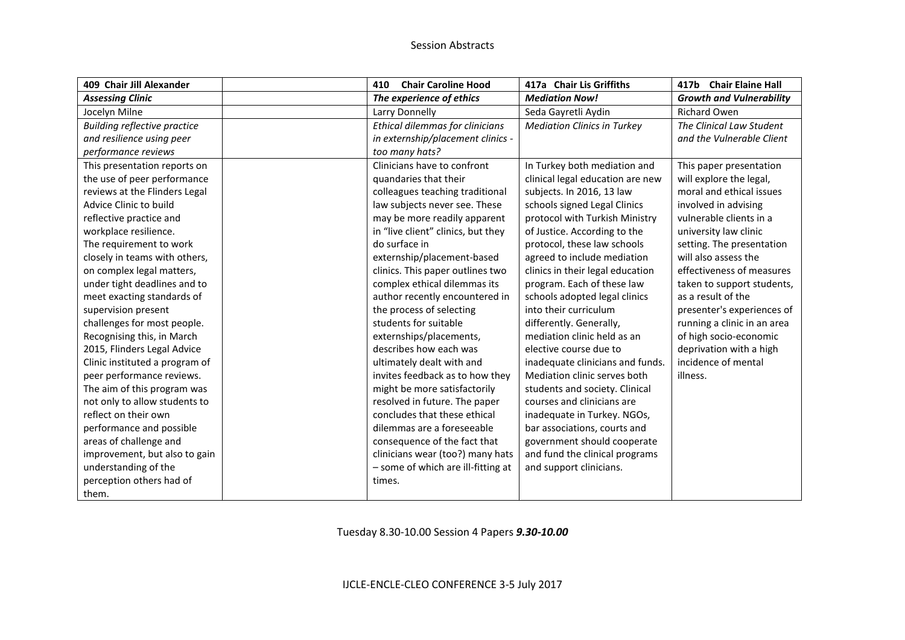| 409 Chair Jill Alexander            | 410<br><b>Chair Caroline Hood</b>  | 417a Chair Lis Griffiths           | 417b Chair Elaine Hall          |
|-------------------------------------|------------------------------------|------------------------------------|---------------------------------|
| <b>Assessing Clinic</b>             | The experience of ethics           | <b>Mediation Now!</b>              | <b>Growth and Vulnerability</b> |
| Jocelyn Milne                       | Larry Donnelly                     | Seda Gayretli Aydin                | <b>Richard Owen</b>             |
| <b>Building reflective practice</b> | Ethical dilemmas for clinicians    | <b>Mediation Clinics in Turkey</b> | The Clinical Law Student        |
| and resilience using peer           | in externship/placement clinics -  |                                    | and the Vulnerable Client       |
| performance reviews                 | too many hats?                     |                                    |                                 |
| This presentation reports on        | Clinicians have to confront        | In Turkey both mediation and       | This paper presentation         |
| the use of peer performance         | quandaries that their              | clinical legal education are new   | will explore the legal,         |
| reviews at the Flinders Legal       | colleagues teaching traditional    | subjects. In 2016, 13 law          | moral and ethical issues        |
| Advice Clinic to build              | law subjects never see. These      | schools signed Legal Clinics       | involved in advising            |
| reflective practice and             | may be more readily apparent       | protocol with Turkish Ministry     | vulnerable clients in a         |
| workplace resilience.               | in "live client" clinics, but they | of Justice. According to the       | university law clinic           |
| The requirement to work             | do surface in                      | protocol, these law schools        | setting. The presentation       |
| closely in teams with others,       | externship/placement-based         | agreed to include mediation        | will also assess the            |
| on complex legal matters,           | clinics. This paper outlines two   | clinics in their legal education   | effectiveness of measures       |
| under tight deadlines and to        | complex ethical dilemmas its       | program. Each of these law         | taken to support students,      |
| meet exacting standards of          | author recently encountered in     | schools adopted legal clinics      | as a result of the              |
| supervision present                 | the process of selecting           | into their curriculum              | presenter's experiences of      |
| challenges for most people.         | students for suitable              | differently. Generally,            | running a clinic in an area     |
| Recognising this, in March          | externships/placements,            | mediation clinic held as an        | of high socio-economic          |
| 2015, Flinders Legal Advice         | describes how each was             | elective course due to             | deprivation with a high         |
| Clinic instituted a program of      | ultimately dealt with and          | inadequate clinicians and funds.   | incidence of mental             |
| peer performance reviews.           | invites feedback as to how they    | Mediation clinic serves both       | illness.                        |
| The aim of this program was         | might be more satisfactorily       | students and society. Clinical     |                                 |
| not only to allow students to       | resolved in future. The paper      | courses and clinicians are         |                                 |
| reflect on their own                | concludes that these ethical       | inadequate in Turkey. NGOs,        |                                 |
| performance and possible            | dilemmas are a foreseeable         | bar associations, courts and       |                                 |
| areas of challenge and              | consequence of the fact that       | government should cooperate        |                                 |
| improvement, but also to gain       | clinicians wear (too?) many hats   | and fund the clinical programs     |                                 |
| understanding of the                | - some of which are ill-fitting at | and support clinicians.            |                                 |
| perception others had of            | times.                             |                                    |                                 |
| them.                               |                                    |                                    |                                 |

Tuesday 8.30-10.00 Session 4 Papers *9.30-10.00*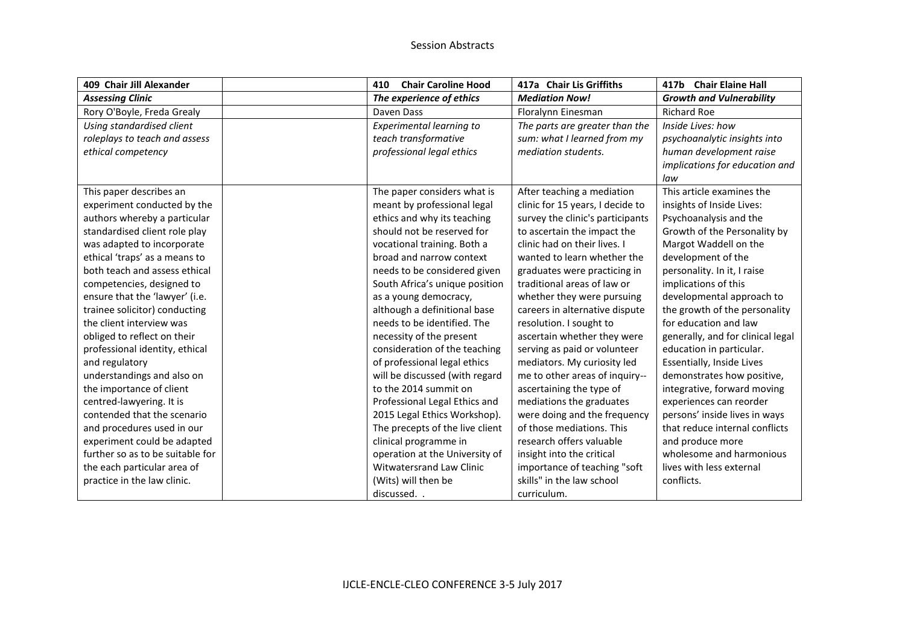| 409 Chair Jill Alexander         | <b>Chair Caroline Hood</b><br>410 | 417a Chair Lis Griffiths         | 417b Chair Elaine Hall            |
|----------------------------------|-----------------------------------|----------------------------------|-----------------------------------|
| <b>Assessing Clinic</b>          | The experience of ethics          | <b>Mediation Now!</b>            | <b>Growth and Vulnerability</b>   |
| Rory O'Boyle, Freda Grealy       | Daven Dass                        | Floralynn Einesman               | <b>Richard Roe</b>                |
| Using standardised client        | Experimental learning to          | The parts are greater than the   | Inside Lives: how                 |
| roleplays to teach and assess    | teach transformative              | sum: what I learned from my      | psychoanalytic insights into      |
| ethical competency               | professional legal ethics         | mediation students.              | human development raise           |
|                                  |                                   |                                  | implications for education and    |
|                                  |                                   |                                  | law                               |
| This paper describes an          | The paper considers what is       | After teaching a mediation       | This article examines the         |
| experiment conducted by the      | meant by professional legal       | clinic for 15 years, I decide to | insights of Inside Lives:         |
| authors whereby a particular     | ethics and why its teaching       | survey the clinic's participants | Psychoanalysis and the            |
| standardised client role play    | should not be reserved for        | to ascertain the impact the      | Growth of the Personality by      |
| was adapted to incorporate       | vocational training. Both a       | clinic had on their lives. I     | Margot Waddell on the             |
| ethical 'traps' as a means to    | broad and narrow context          | wanted to learn whether the      | development of the                |
| both teach and assess ethical    | needs to be considered given      | graduates were practicing in     | personality. In it, I raise       |
| competencies, designed to        | South Africa's unique position    | traditional areas of law or      | implications of this              |
| ensure that the 'lawyer' (i.e.   | as a young democracy,             | whether they were pursuing       | developmental approach to         |
| trainee solicitor) conducting    | although a definitional base      | careers in alternative dispute   | the growth of the personality     |
| the client interview was         | needs to be identified. The       | resolution. I sought to          | for education and law             |
| obliged to reflect on their      | necessity of the present          | ascertain whether they were      | generally, and for clinical legal |
| professional identity, ethical   | consideration of the teaching     | serving as paid or volunteer     | education in particular.          |
| and regulatory                   | of professional legal ethics      | mediators. My curiosity led      | Essentially, Inside Lives         |
| understandings and also on       | will be discussed (with regard    | me to other areas of inquiry--   | demonstrates how positive,        |
| the importance of client         | to the 2014 summit on             | ascertaining the type of         | integrative, forward moving       |
| centred-lawyering. It is         | Professional Legal Ethics and     | mediations the graduates         | experiences can reorder           |
| contended that the scenario      | 2015 Legal Ethics Workshop).      | were doing and the frequency     | persons' inside lives in ways     |
| and procedures used in our       | The precepts of the live client   | of those mediations. This        | that reduce internal conflicts    |
| experiment could be adapted      | clinical programme in             | research offers valuable         | and produce more                  |
| further so as to be suitable for | operation at the University of    | insight into the critical        | wholesome and harmonious          |
| the each particular area of      | Witwatersrand Law Clinic          | importance of teaching "soft     | lives with less external          |
| practice in the law clinic.      | (Wits) will then be               | skills" in the law school        | conflicts.                        |
|                                  | discussed                         | curriculum.                      |                                   |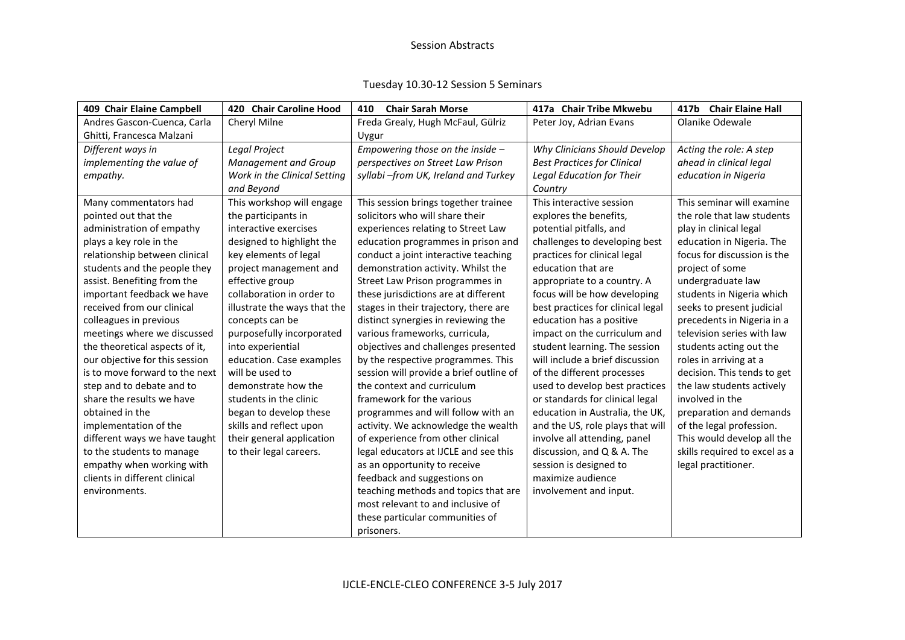### Tuesday 10.30-12 Session 5 Seminars

| 409 Chair Elaine Campbell      | 420 Chair Caroline Hood      | <b>Chair Sarah Morse</b><br>410         | 417a Chair Tribe Mkwebu            | <b>Chair Elaine Hall</b><br>417b |
|--------------------------------|------------------------------|-----------------------------------------|------------------------------------|----------------------------------|
| Andres Gascon-Cuenca, Carla    | Cheryl Milne                 | Freda Grealy, Hugh McFaul, Gülriz       | Peter Joy, Adrian Evans            | Olanike Odewale                  |
| Ghitti, Francesca Malzani      |                              | Uygur                                   |                                    |                                  |
| Different ways in              | Legal Project                | Empowering those on the inside $-$      | Why Clinicians Should Develop      | Acting the role: A step          |
| implementing the value of      | Management and Group         | perspectives on Street Law Prison       | <b>Best Practices for Clinical</b> | ahead in clinical legal          |
| empathy.                       | Work in the Clinical Setting | syllabi-from UK, Ireland and Turkey     | <b>Legal Education for Their</b>   | education in Nigeria             |
|                                | and Beyond                   |                                         | Country                            |                                  |
| Many commentators had          | This workshop will engage    | This session brings together trainee    | This interactive session           | This seminar will examine        |
| pointed out that the           | the participants in          | solicitors who will share their         | explores the benefits,             | the role that law students       |
| administration of empathy      | interactive exercises        | experiences relating to Street Law      | potential pitfalls, and            | play in clinical legal           |
| plays a key role in the        | designed to highlight the    | education programmes in prison and      | challenges to developing best      | education in Nigeria. The        |
| relationship between clinical  | key elements of legal        | conduct a joint interactive teaching    | practices for clinical legal       | focus for discussion is the      |
| students and the people they   | project management and       | demonstration activity. Whilst the      | education that are                 | project of some                  |
| assist. Benefiting from the    | effective group              | Street Law Prison programmes in         | appropriate to a country. A        | undergraduate law                |
| important feedback we have     | collaboration in order to    | these jurisdictions are at different    | focus will be how developing       | students in Nigeria which        |
| received from our clinical     | illustrate the ways that the | stages in their trajectory, there are   | best practices for clinical legal  | seeks to present judicial        |
| colleagues in previous         | concepts can be              | distinct synergies in reviewing the     | education has a positive           | precedents in Nigeria in a       |
| meetings where we discussed    | purposefully incorporated    | various frameworks, curricula,          | impact on the curriculum and       | television series with law       |
| the theoretical aspects of it, | into experiential            | objectives and challenges presented     | student learning. The session      | students acting out the          |
| our objective for this session | education. Case examples     | by the respective programmes. This      | will include a brief discussion    | roles in arriving at a           |
| is to move forward to the next | will be used to              | session will provide a brief outline of | of the different processes         | decision. This tends to get      |
| step and to debate and to      | demonstrate how the          | the context and curriculum              | used to develop best practices     | the law students actively        |
| share the results we have      | students in the clinic       | framework for the various               | or standards for clinical legal    | involved in the                  |
| obtained in the                | began to develop these       | programmes and will follow with an      | education in Australia, the UK,    | preparation and demands          |
| implementation of the          | skills and reflect upon      | activity. We acknowledge the wealth     | and the US, role plays that will   | of the legal profession.         |
| different ways we have taught  | their general application    | of experience from other clinical       | involve all attending, panel       | This would develop all the       |
| to the students to manage      | to their legal careers.      | legal educators at IJCLE and see this   | discussion, and Q & A. The         | skills required to excel as a    |
| empathy when working with      |                              | as an opportunity to receive            | session is designed to             | legal practitioner.              |
| clients in different clinical  |                              | feedback and suggestions on             | maximize audience                  |                                  |
| environments.                  |                              | teaching methods and topics that are    | involvement and input.             |                                  |
|                                |                              | most relevant to and inclusive of       |                                    |                                  |
|                                |                              | these particular communities of         |                                    |                                  |
|                                |                              | prisoners.                              |                                    |                                  |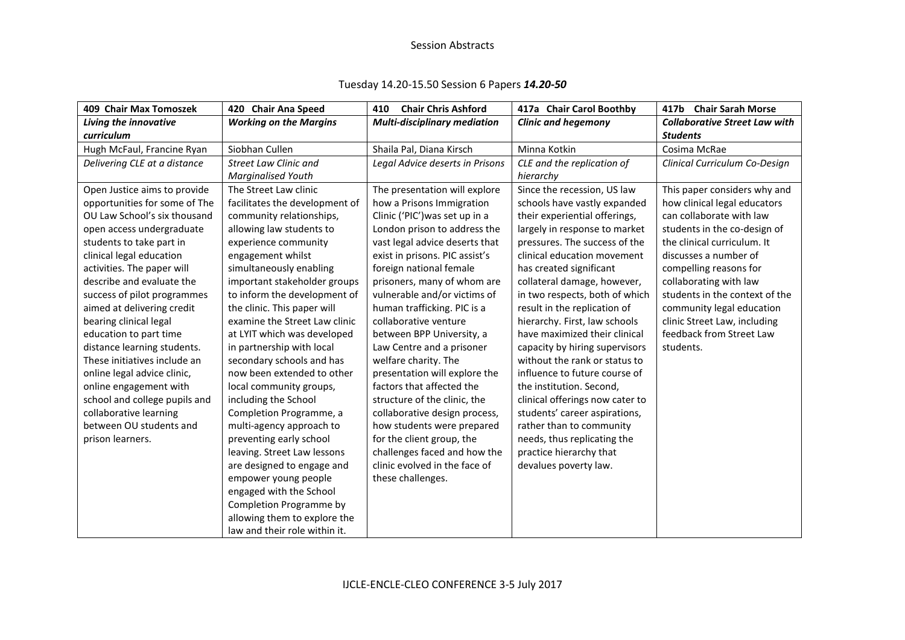# Tuesday 14.20-15.50 Session 6 Papers *14.20-50*

| 409 Chair Max Tomoszek        | 420 Chair Ana Speed            | <b>Chair Chris Ashford</b><br>410   | 417a Chair Carol Boothby        | 417b Chair Sarah Morse               |
|-------------------------------|--------------------------------|-------------------------------------|---------------------------------|--------------------------------------|
| Living the innovative         | <b>Working on the Margins</b>  | <b>Multi-disciplinary mediation</b> | <b>Clinic and hegemony</b>      | <b>Collaborative Street Law with</b> |
| curriculum                    |                                |                                     |                                 | <b>Students</b>                      |
| Hugh McFaul, Francine Ryan    | Siobhan Cullen                 | Shaila Pal, Diana Kirsch            | Minna Kotkin                    | Cosima McRae                         |
| Delivering CLE at a distance  | <b>Street Law Clinic and</b>   | Legal Advice deserts in Prisons     | CLE and the replication of      | Clinical Curriculum Co-Design        |
|                               | <b>Marginalised Youth</b>      |                                     | hierarchy                       |                                      |
| Open Justice aims to provide  | The Street Law clinic          | The presentation will explore       | Since the recession, US law     | This paper considers why and         |
| opportunities for some of The | facilitates the development of | how a Prisons Immigration           | schools have vastly expanded    | how clinical legal educators         |
| OU Law School's six thousand  | community relationships,       | Clinic ('PIC') was set up in a      | their experiential offerings,   | can collaborate with law             |
| open access undergraduate     | allowing law students to       | London prison to address the        | largely in response to market   | students in the co-design of         |
| students to take part in      | experience community           | vast legal advice deserts that      | pressures. The success of the   | the clinical curriculum. It          |
| clinical legal education      | engagement whilst              | exist in prisons. PIC assist's      | clinical education movement     | discusses a number of                |
| activities. The paper will    | simultaneously enabling        | foreign national female             | has created significant         | compelling reasons for               |
| describe and evaluate the     | important stakeholder groups   | prisoners, many of whom are         | collateral damage, however,     | collaborating with law               |
| success of pilot programmes   | to inform the development of   | vulnerable and/or victims of        | in two respects, both of which  | students in the context of the       |
| aimed at delivering credit    | the clinic. This paper will    | human trafficking. PIC is a         | result in the replication of    | community legal education            |
| bearing clinical legal        | examine the Street Law clinic  | collaborative venture               | hierarchy. First, law schools   | clinic Street Law, including         |
| education to part time        | at LYIT which was developed    | between BPP University, a           | have maximized their clinical   | feedback from Street Law             |
| distance learning students.   | in partnership with local      | Law Centre and a prisoner           | capacity by hiring supervisors  | students.                            |
| These initiatives include an  | secondary schools and has      | welfare charity. The                | without the rank or status to   |                                      |
| online legal advice clinic,   | now been extended to other     | presentation will explore the       | influence to future course of   |                                      |
| online engagement with        | local community groups,        | factors that affected the           | the institution. Second,        |                                      |
| school and college pupils and | including the School           | structure of the clinic, the        | clinical offerings now cater to |                                      |
| collaborative learning        | Completion Programme, a        | collaborative design process,       | students' career aspirations,   |                                      |
| between OU students and       | multi-agency approach to       | how students were prepared          | rather than to community        |                                      |
| prison learners.              | preventing early school        | for the client group, the           | needs, thus replicating the     |                                      |
|                               | leaving. Street Law lessons    | challenges faced and how the        | practice hierarchy that         |                                      |
|                               | are designed to engage and     | clinic evolved in the face of       | devalues poverty law.           |                                      |
|                               | empower young people           | these challenges.                   |                                 |                                      |
|                               | engaged with the School        |                                     |                                 |                                      |
|                               | Completion Programme by        |                                     |                                 |                                      |
|                               | allowing them to explore the   |                                     |                                 |                                      |
|                               | law and their role within it.  |                                     |                                 |                                      |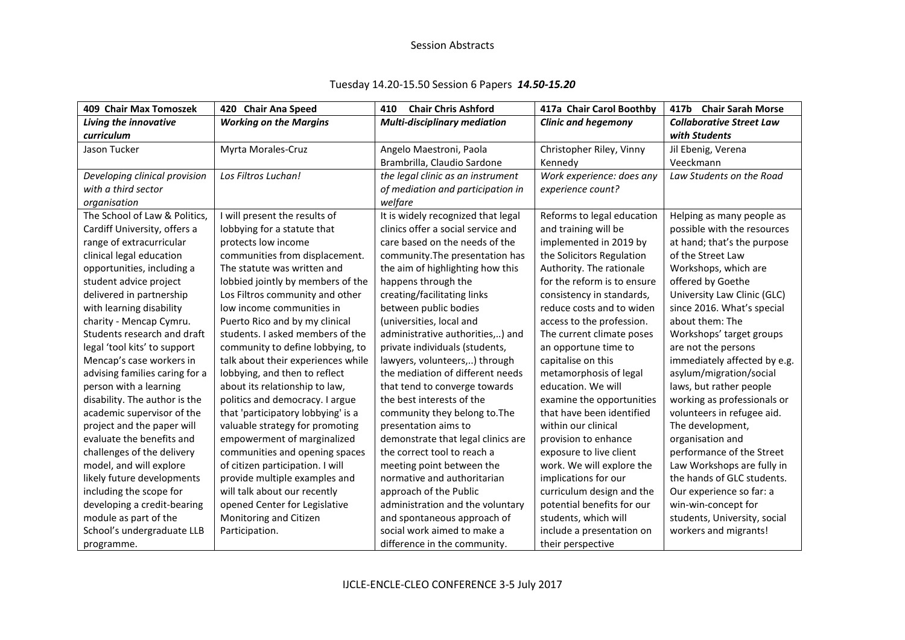# Tuesday 14.20-15.50 Session 6 Papers *14.50-15.20*

| <b>409 Chair Max Tomoszek</b>  | 420 Chair Ana Speed                | <b>Chair Chris Ashford</b><br>410   | 417a Chair Carol Boothby    | <b>Chair Sarah Morse</b><br>417b |
|--------------------------------|------------------------------------|-------------------------------------|-----------------------------|----------------------------------|
| Living the innovative          | <b>Working on the Margins</b>      | <b>Multi-disciplinary mediation</b> | <b>Clinic and hegemony</b>  | <b>Collaborative Street Law</b>  |
| curriculum                     |                                    |                                     |                             | with Students                    |
| Jason Tucker                   | Myrta Morales-Cruz                 | Angelo Maestroni, Paola             | Christopher Riley, Vinny    | Jil Ebenig, Verena               |
|                                |                                    | Brambrilla, Claudio Sardone         | Kennedy                     | Veeckmann                        |
| Developing clinical provision  | Los Filtros Luchan!                | the legal clinic as an instrument   | Work experience: does any   | Law Students on the Road         |
| with a third sector            |                                    | of mediation and participation in   | experience count?           |                                  |
| organisation                   |                                    | welfare                             |                             |                                  |
| The School of Law & Politics,  | I will present the results of      | It is widely recognized that legal  | Reforms to legal education  | Helping as many people as        |
| Cardiff University, offers a   | lobbying for a statute that        | clinics offer a social service and  | and training will be        | possible with the resources      |
| range of extracurricular       | protects low income                | care based on the needs of the      | implemented in 2019 by      | at hand; that's the purpose      |
| clinical legal education       | communities from displacement.     | community. The presentation has     | the Solicitors Regulation   | of the Street Law                |
| opportunities, including a     | The statute was written and        | the aim of highlighting how this    | Authority. The rationale    | Workshops, which are             |
| student advice project         | lobbied jointly by members of the  | happens through the                 | for the reform is to ensure | offered by Goethe                |
| delivered in partnership       | Los Filtros community and other    | creating/facilitating links         | consistency in standards,   | University Law Clinic (GLC)      |
| with learning disability       | low income communities in          | between public bodies               | reduce costs and to widen   | since 2016. What's special       |
| charity - Mencap Cymru.        | Puerto Rico and by my clinical     | (universities, local and            | access to the profession.   | about them: The                  |
| Students research and draft    | students. I asked members of the   | administrative authorities,) and    | The current climate poses   | Workshops' target groups         |
| legal 'tool kits' to support   | community to define lobbying, to   | private individuals (students,      | an opportune time to        | are not the persons              |
| Mencap's case workers in       | talk about their experiences while | lawyers, volunteers,) through       | capitalise on this          | immediately affected by e.g.     |
| advising families caring for a | lobbying, and then to reflect      | the mediation of different needs    | metamorphosis of legal      | asylum/migration/social          |
| person with a learning         | about its relationship to law,     | that tend to converge towards       | education. We will          | laws, but rather people          |
| disability. The author is the  | politics and democracy. I argue    | the best interests of the           | examine the opportunities   | working as professionals or      |
| academic supervisor of the     | that 'participatory lobbying' is a | community they belong to. The       | that have been identified   | volunteers in refugee aid.       |
| project and the paper will     | valuable strategy for promoting    | presentation aims to                | within our clinical         | The development,                 |
| evaluate the benefits and      | empowerment of marginalized        | demonstrate that legal clinics are  | provision to enhance        | organisation and                 |
| challenges of the delivery     | communities and opening spaces     | the correct tool to reach a         | exposure to live client     | performance of the Street        |
| model, and will explore        | of citizen participation. I will   | meeting point between the           | work. We will explore the   | Law Workshops are fully in       |
| likely future developments     | provide multiple examples and      | normative and authoritarian         | implications for our        | the hands of GLC students.       |
| including the scope for        | will talk about our recently       | approach of the Public              | curriculum design and the   | Our experience so far: a         |
| developing a credit-bearing    | opened Center for Legislative      | administration and the voluntary    | potential benefits for our  | win-win-concept for              |
| module as part of the          | Monitoring and Citizen             | and spontaneous approach of         | students, which will        | students, University, social     |
| School's undergraduate LLB     | Participation.                     | social work aimed to make a         | include a presentation on   | workers and migrants!            |
| programme.                     |                                    | difference in the community.        | their perspective           |                                  |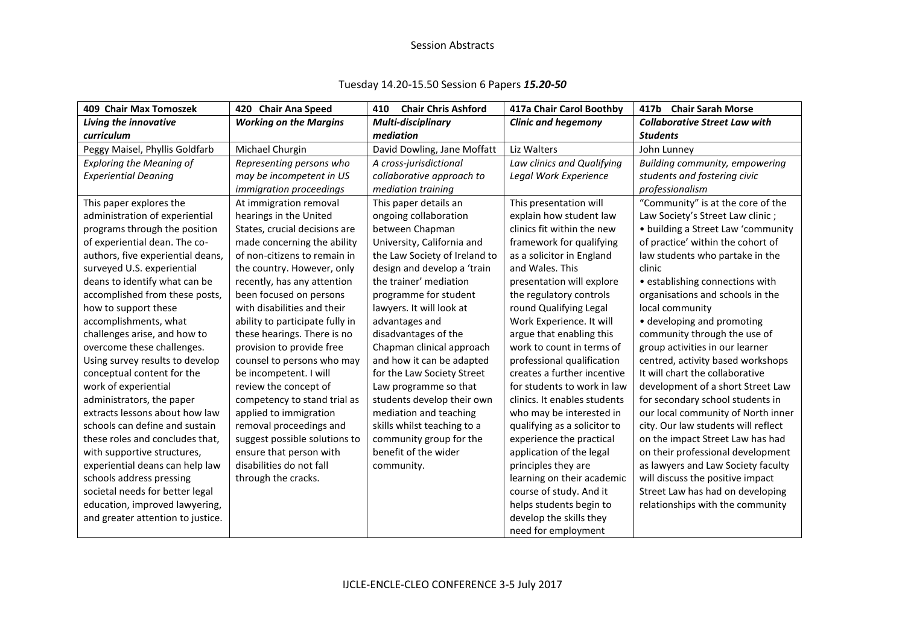# Tuesday 14.20-15.50 Session 6 Papers *15.20-50*

| 409 Chair Max Tomoszek            | <b>Chair Ana Speed</b><br>420   | <b>Chair Chris Ashford</b><br>410 | 417a Chair Carol Boothby     | 417b<br><b>Chair Sarah Morse</b>     |
|-----------------------------------|---------------------------------|-----------------------------------|------------------------------|--------------------------------------|
| Living the innovative             | <b>Working on the Margins</b>   | <b>Multi-disciplinary</b>         | <b>Clinic and hegemony</b>   | <b>Collaborative Street Law with</b> |
| curriculum                        |                                 | mediation                         |                              | <b>Students</b>                      |
| Peggy Maisel, Phyllis Goldfarb    | Michael Churgin                 | David Dowling, Jane Moffatt       | Liz Walters                  | John Lunney                          |
| <b>Exploring the Meaning of</b>   | Representing persons who        | A cross-jurisdictional            | Law clinics and Qualifying   | Building community, empowering       |
| <b>Experiential Deaning</b>       | may be incompetent in US        | collaborative approach to         | Legal Work Experience        | students and fostering civic         |
|                                   | immigration proceedings         | mediation training                |                              | professionalism                      |
| This paper explores the           | At immigration removal          | This paper details an             | This presentation will       | "Community" is at the core of the    |
| administration of experiential    | hearings in the United          | ongoing collaboration             | explain how student law      | Law Society's Street Law clinic;     |
| programs through the position     | States, crucial decisions are   | between Chapman                   | clinics fit within the new   | • building a Street Law 'community   |
| of experiential dean. The co-     | made concerning the ability     | University, California and        | framework for qualifying     | of practice' within the cohort of    |
| authors, five experiential deans, | of non-citizens to remain in    | the Law Society of Ireland to     | as a solicitor in England    | law students who partake in the      |
| surveyed U.S. experiential        | the country. However, only      | design and develop a 'train       | and Wales. This              | clinic                               |
| deans to identify what can be     | recently, has any attention     | the trainer' mediation            | presentation will explore    | • establishing connections with      |
| accomplished from these posts,    | been focused on persons         | programme for student             | the regulatory controls      | organisations and schools in the     |
| how to support these              | with disabilities and their     | lawyers. It will look at          | round Qualifying Legal       | local community                      |
| accomplishments, what             | ability to participate fully in | advantages and                    | Work Experience. It will     | • developing and promoting           |
| challenges arise, and how to      | these hearings. There is no     | disadvantages of the              | argue that enabling this     | community through the use of         |
| overcome these challenges.        | provision to provide free       | Chapman clinical approach         | work to count in terms of    | group activities in our learner      |
| Using survey results to develop   | counsel to persons who may      | and how it can be adapted         | professional qualification   | centred, activity based workshops    |
| conceptual content for the        | be incompetent. I will          | for the Law Society Street        | creates a further incentive  | It will chart the collaborative      |
| work of experiential              | review the concept of           | Law programme so that             | for students to work in law  | development of a short Street Law    |
| administrators, the paper         | competency to stand trial as    | students develop their own        | clinics. It enables students | for secondary school students in     |
| extracts lessons about how law    | applied to immigration          | mediation and teaching            | who may be interested in     | our local community of North inner   |
| schools can define and sustain    | removal proceedings and         | skills whilst teaching to a       | qualifying as a solicitor to | city. Our law students will reflect  |
| these roles and concludes that,   | suggest possible solutions to   | community group for the           | experience the practical     | on the impact Street Law has had     |
| with supportive structures,       | ensure that person with         | benefit of the wider              | application of the legal     | on their professional development    |
| experiential deans can help law   | disabilities do not fall        | community.                        | principles they are          | as lawyers and Law Society faculty   |
| schools address pressing          | through the cracks.             |                                   | learning on their academic   | will discuss the positive impact     |
| societal needs for better legal   |                                 |                                   | course of study. And it      | Street Law has had on developing     |
| education, improved lawyering,    |                                 |                                   | helps students begin to      | relationships with the community     |
| and greater attention to justice. |                                 |                                   | develop the skills they      |                                      |
|                                   |                                 |                                   | need for employment          |                                      |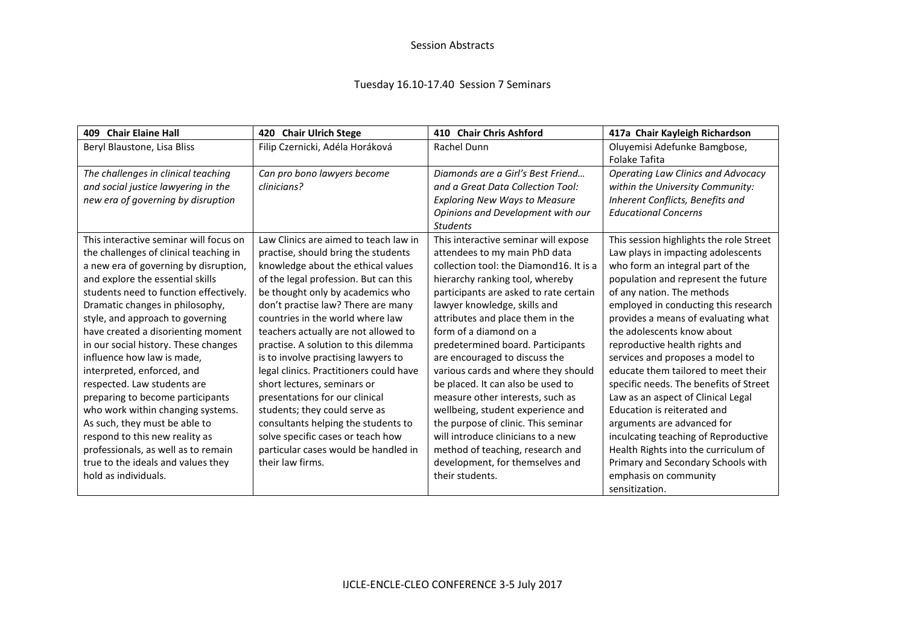### Tuesday 16.10-17.40 Session 7 Seminars

| <b>Chair Elaine Hall</b><br>409        | 420 Chair Ulrich Stege                  | 410 Chair Chris Ashford                  | 417a Chair Kayleigh Richardson            |
|----------------------------------------|-----------------------------------------|------------------------------------------|-------------------------------------------|
| Beryl Blaustone, Lisa Bliss            | Filip Czernicki, Adéla Horáková         | Rachel Dunn                              | Oluyemisi Adefunke Bamgbose,              |
|                                        |                                         |                                          | <b>Folake Tafita</b>                      |
| The challenges in clinical teaching    | Can pro bono lawyers become             | Diamonds are a Girl's Best Friend        | <b>Operating Law Clinics and Advocacy</b> |
| and social justice lawyering in the    | clinicians?                             | and a Great Data Collection Tool:        | within the University Community:          |
| new era of governing by disruption     |                                         | <b>Exploring New Ways to Measure</b>     | Inherent Conflicts, Benefits and          |
|                                        |                                         | Opinions and Development with our        | <b>Educational Concerns</b>               |
|                                        |                                         | <b>Students</b>                          |                                           |
| This interactive seminar will focus on | Law Clinics are aimed to teach law in   | This interactive seminar will expose     | This session highlights the role Street   |
| the challenges of clinical teaching in | practise, should bring the students     | attendees to my main PhD data            | Law plays in impacting adolescents        |
| a new era of governing by disruption,  | knowledge about the ethical values      | collection tool: the Diamond 16. It is a | who form an integral part of the          |
| and explore the essential skills       | of the legal profession. But can this   | hierarchy ranking tool, whereby          | population and represent the future       |
| students need to function effectively. | be thought only by academics who        | participants are asked to rate certain   | of any nation. The methods                |
| Dramatic changes in philosophy,        | don't practise law? There are many      | lawyer knowledge, skills and             | employed in conducting this research      |
| style, and approach to governing       | countries in the world where law        | attributes and place them in the         | provides a means of evaluating what       |
| have created a disorienting moment     | teachers actually are not allowed to    | form of a diamond on a                   | the adolescents know about                |
| in our social history. These changes   | practise. A solution to this dilemma    | predetermined board. Participants        | reproductive health rights and            |
| influence how law is made,             | is to involve practising lawyers to     | are encouraged to discuss the            | services and proposes a model to          |
| interpreted, enforced, and             | legal clinics. Practitioners could have | various cards and where they should      | educate them tailored to meet their       |
| respected. Law students are            | short lectures, seminars or             | be placed. It can also be used to        | specific needs. The benefits of Street    |
| preparing to become participants       | presentations for our clinical          | measure other interests, such as         | Law as an aspect of Clinical Legal        |
| who work within changing systems.      | students; they could serve as           | wellbeing, student experience and        | Education is reiterated and               |
| As such, they must be able to          | consultants helping the students to     | the purpose of clinic. This seminar      | arguments are advanced for                |
| respond to this new reality as         | solve specific cases or teach how       | will introduce clinicians to a new       | inculcating teaching of Reproductive      |
| professionals, as well as to remain    | particular cases would be handled in    | method of teaching, research and         | Health Rights into the curriculum of      |
| true to the ideals and values they     | their law firms.                        | development, for themselves and          | Primary and Secondary Schools with        |
| hold as individuals.                   |                                         | their students.                          | emphasis on community                     |
|                                        |                                         |                                          | sensitization.                            |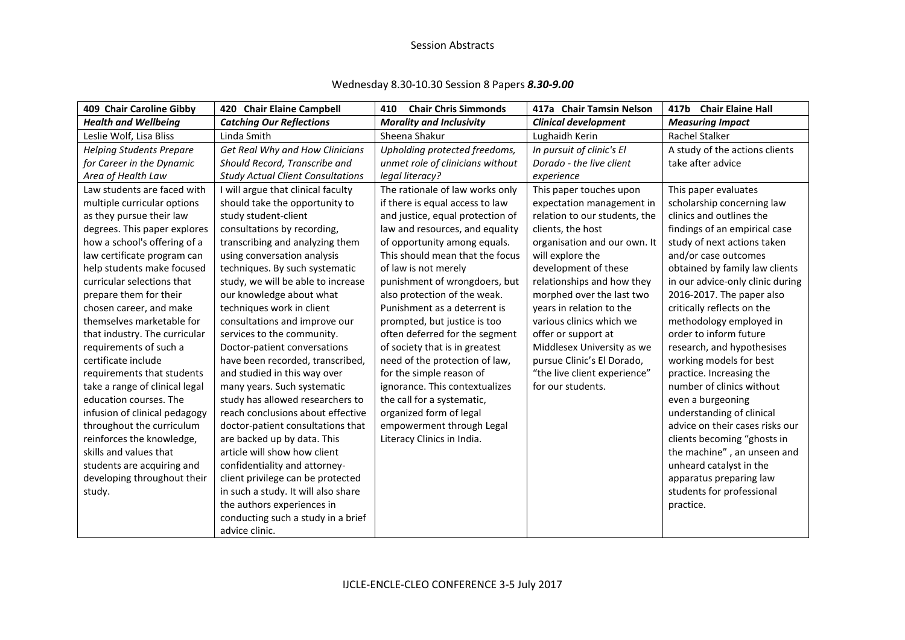# Wednesday 8.30-10.30 Session 8 Papers *8.30-9.00*

| 409 Chair Caroline Gibby        | 420 Chair Elaine Campbell                | <b>Chair Chris Simmonds</b><br>410 | 417a Chair Tamsin Nelson      | 417b Chair Elaine Hall           |
|---------------------------------|------------------------------------------|------------------------------------|-------------------------------|----------------------------------|
| <b>Health and Wellbeing</b>     | <b>Catching Our Reflections</b>          | <b>Morality and Inclusivity</b>    | <b>Clinical development</b>   | <b>Measuring Impact</b>          |
| Leslie Wolf, Lisa Bliss         | Linda Smith                              | Sheena Shakur                      | Lughaidh Kerin                | <b>Rachel Stalker</b>            |
| <b>Helping Students Prepare</b> | Get Real Why and How Clinicians          | Upholding protected freedoms,      | In pursuit of clinic's El     | A study of the actions clients   |
| for Career in the Dynamic       | Should Record, Transcribe and            | unmet role of clinicians without   | Dorado - the live client      | take after advice                |
| Area of Health Law              | <b>Study Actual Client Consultations</b> | legal literacy?                    | experience                    |                                  |
| Law students are faced with     | I will argue that clinical faculty       | The rationale of law works only    | This paper touches upon       | This paper evaluates             |
| multiple curricular options     | should take the opportunity to           | if there is equal access to law    | expectation management in     | scholarship concerning law       |
| as they pursue their law        | study student-client                     | and justice, equal protection of   | relation to our students, the | clinics and outlines the         |
| degrees. This paper explores    | consultations by recording,              | law and resources, and equality    | clients, the host             | findings of an empirical case    |
| how a school's offering of a    | transcribing and analyzing them          | of opportunity among equals.       | organisation and our own. It  | study of next actions taken      |
| law certificate program can     | using conversation analysis              | This should mean that the focus    | will explore the              | and/or case outcomes             |
| help students make focused      | techniques. By such systematic           | of law is not merely               | development of these          | obtained by family law clients   |
| curricular selections that      | study, we will be able to increase       | punishment of wrongdoers, but      | relationships and how they    | in our advice-only clinic during |
| prepare them for their          | our knowledge about what                 | also protection of the weak.       | morphed over the last two     | 2016-2017. The paper also        |
| chosen career, and make         | techniques work in client                | Punishment as a deterrent is       | years in relation to the      | critically reflects on the       |
| themselves marketable for       | consultations and improve our            | prompted, but justice is too       | various clinics which we      | methodology employed in          |
| that industry. The curricular   | services to the community.               | often deferred for the segment     | offer or support at           | order to inform future           |
| requirements of such a          | Doctor-patient conversations             | of society that is in greatest     | Middlesex University as we    | research, and hypothesises       |
| certificate include             | have been recorded, transcribed,         | need of the protection of law,     | pursue Clinic's El Dorado,    | working models for best          |
| requirements that students      | and studied in this way over             | for the simple reason of           | "the live client experience"  | practice. Increasing the         |
| take a range of clinical legal  | many years. Such systematic              | ignorance. This contextualizes     | for our students.             | number of clinics without        |
| education courses. The          | study has allowed researchers to         | the call for a systematic,         |                               | even a burgeoning                |
| infusion of clinical pedagogy   | reach conclusions about effective        | organized form of legal            |                               | understanding of clinical        |
| throughout the curriculum       | doctor-patient consultations that        | empowerment through Legal          |                               | advice on their cases risks our  |
| reinforces the knowledge,       | are backed up by data. This              | Literacy Clinics in India.         |                               | clients becoming "ghosts in      |
| skills and values that          | article will show how client             |                                    |                               | the machine", an unseen and      |
| students are acquiring and      | confidentiality and attorney-            |                                    |                               | unheard catalyst in the          |
| developing throughout their     | client privilege can be protected        |                                    |                               | apparatus preparing law          |
| study.                          | in such a study. It will also share      |                                    |                               | students for professional        |
|                                 | the authors experiences in               |                                    |                               | practice.                        |
|                                 | conducting such a study in a brief       |                                    |                               |                                  |
|                                 | advice clinic.                           |                                    |                               |                                  |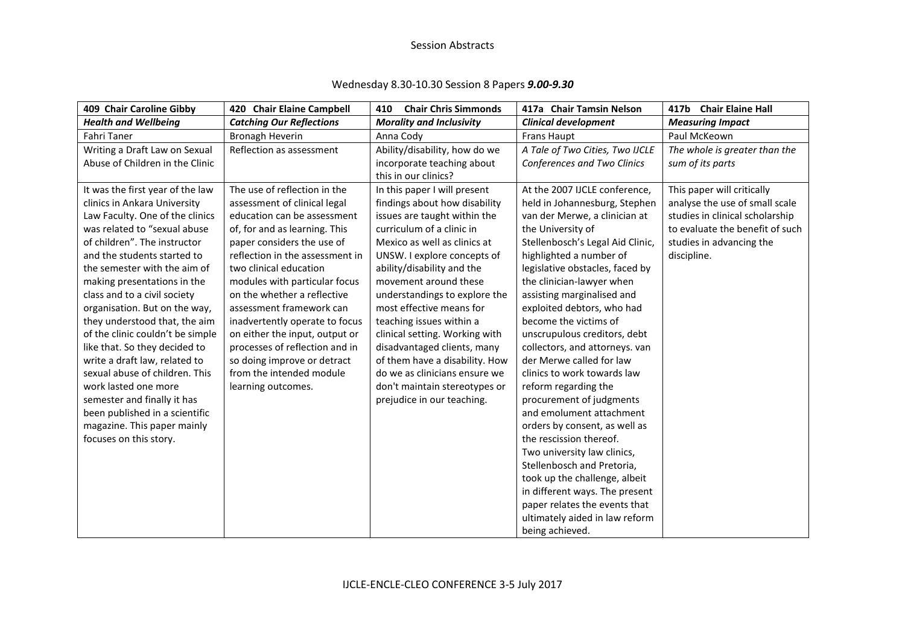# Wednesday 8.30-10.30 Session 8 Papers *9.00-9.30*

| 409 Chair Caroline Gibby         | 420 Chair Elaine Campbell       | <b>Chair Chris Simmonds</b><br>410 | 417a Chair Tamsin Nelson         | 417b Chair Elaine Hall          |
|----------------------------------|---------------------------------|------------------------------------|----------------------------------|---------------------------------|
| <b>Health and Wellbeing</b>      | <b>Catching Our Reflections</b> | <b>Morality and Inclusivity</b>    | <b>Clinical development</b>      | <b>Measuring Impact</b>         |
| <b>Fahri Taner</b>               | Bronagh Heverin                 | Anna Cody                          | <b>Frans Haupt</b>               | Paul McKeown                    |
| Writing a Draft Law on Sexual    | Reflection as assessment        | Ability/disability, how do we      | A Tale of Two Cities, Two IJCLE  | The whole is greater than the   |
| Abuse of Children in the Clinic  |                                 | incorporate teaching about         | Conferences and Two Clinics      | sum of its parts                |
|                                  |                                 | this in our clinics?               |                                  |                                 |
| It was the first year of the law | The use of reflection in the    | In this paper I will present       | At the 2007 IJCLE conference,    | This paper will critically      |
| clinics in Ankara University     | assessment of clinical legal    | findings about how disability      | held in Johannesburg, Stephen    | analyse the use of small scale  |
| Law Faculty. One of the clinics  | education can be assessment     | issues are taught within the       | van der Merwe, a clinician at    | studies in clinical scholarship |
| was related to "sexual abuse     | of, for and as learning. This   | curriculum of a clinic in          | the University of                | to evaluate the benefit of such |
| of children". The instructor     | paper considers the use of      | Mexico as well as clinics at       | Stellenbosch's Legal Aid Clinic, | studies in advancing the        |
| and the students started to      | reflection in the assessment in | UNSW. I explore concepts of        | highlighted a number of          | discipline.                     |
| the semester with the aim of     | two clinical education          | ability/disability and the         | legislative obstacles, faced by  |                                 |
| making presentations in the      | modules with particular focus   | movement around these              | the clinician-lawyer when        |                                 |
| class and to a civil society     | on the whether a reflective     | understandings to explore the      | assisting marginalised and       |                                 |
| organisation. But on the way,    | assessment framework can        | most effective means for           | exploited debtors, who had       |                                 |
| they understood that, the aim    | inadvertently operate to focus  | teaching issues within a           | become the victims of            |                                 |
| of the clinic couldn't be simple | on either the input, output or  | clinical setting. Working with     | unscrupulous creditors, debt     |                                 |
| like that. So they decided to    | processes of reflection and in  | disadvantaged clients, many        | collectors, and attorneys. van   |                                 |
| write a draft law, related to    | so doing improve or detract     | of them have a disability. How     | der Merwe called for law         |                                 |
| sexual abuse of children. This   | from the intended module        | do we as clinicians ensure we      | clinics to work towards law      |                                 |
| work lasted one more             | learning outcomes.              | don't maintain stereotypes or      | reform regarding the             |                                 |
| semester and finally it has      |                                 | prejudice in our teaching.         | procurement of judgments         |                                 |
| been published in a scientific   |                                 |                                    | and emolument attachment         |                                 |
| magazine. This paper mainly      |                                 |                                    | orders by consent, as well as    |                                 |
| focuses on this story.           |                                 |                                    | the rescission thereof.          |                                 |
|                                  |                                 |                                    | Two university law clinics,      |                                 |
|                                  |                                 |                                    | Stellenbosch and Pretoria,       |                                 |
|                                  |                                 |                                    | took up the challenge, albeit    |                                 |
|                                  |                                 |                                    | in different ways. The present   |                                 |
|                                  |                                 |                                    | paper relates the events that    |                                 |
|                                  |                                 |                                    | ultimately aided in law reform   |                                 |
|                                  |                                 |                                    | being achieved.                  |                                 |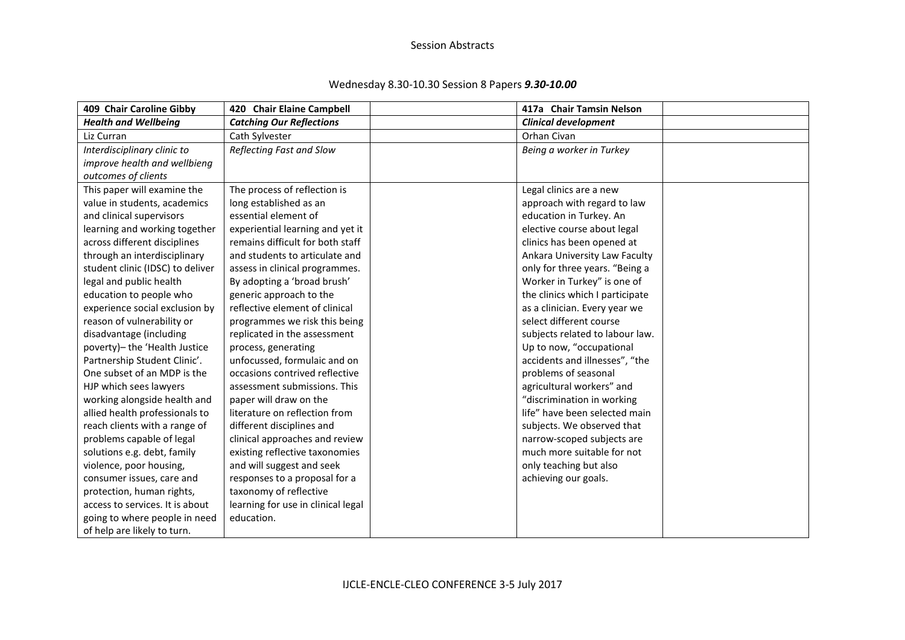# Wednesday 8.30-10.30 Session 8 Papers *9.30-10.00*

| 409 Chair Caroline Gibby         | 420 Chair Elaine Campbell          | 417a Chair Tamsin Nelson        |  |
|----------------------------------|------------------------------------|---------------------------------|--|
| <b>Health and Wellbeing</b>      | <b>Catching Our Reflections</b>    | <b>Clinical development</b>     |  |
| Liz Curran                       | Cath Sylvester                     | Orhan Civan                     |  |
| Interdisciplinary clinic to      | Reflecting Fast and Slow           | Being a worker in Turkey        |  |
| improve health and wellbieng     |                                    |                                 |  |
| outcomes of clients              |                                    |                                 |  |
| This paper will examine the      | The process of reflection is       | Legal clinics are a new         |  |
| value in students, academics     | long established as an             | approach with regard to law     |  |
| and clinical supervisors         | essential element of               | education in Turkey. An         |  |
| learning and working together    | experiential learning and yet it   | elective course about legal     |  |
| across different disciplines     | remains difficult for both staff   | clinics has been opened at      |  |
| through an interdisciplinary     | and students to articulate and     | Ankara University Law Faculty   |  |
| student clinic (IDSC) to deliver | assess in clinical programmes.     | only for three years. "Being a  |  |
| legal and public health          | By adopting a 'broad brush'        | Worker in Turkey" is one of     |  |
| education to people who          | generic approach to the            | the clinics which I participate |  |
| experience social exclusion by   | reflective element of clinical     | as a clinician. Every year we   |  |
| reason of vulnerability or       | programmes we risk this being      | select different course         |  |
| disadvantage (including          | replicated in the assessment       | subjects related to labour law. |  |
| poverty)- the 'Health Justice    | process, generating                | Up to now, "occupational        |  |
| Partnership Student Clinic'.     | unfocussed, formulaic and on       | accidents and illnesses", "the  |  |
| One subset of an MDP is the      | occasions contrived reflective     | problems of seasonal            |  |
| HJP which sees lawyers           | assessment submissions. This       | agricultural workers" and       |  |
| working alongside health and     | paper will draw on the             | "discrimination in working      |  |
| allied health professionals to   | literature on reflection from      | life" have been selected main   |  |
| reach clients with a range of    | different disciplines and          | subjects. We observed that      |  |
| problems capable of legal        | clinical approaches and review     | narrow-scoped subjects are      |  |
| solutions e.g. debt, family      | existing reflective taxonomies     | much more suitable for not      |  |
| violence, poor housing,          | and will suggest and seek          | only teaching but also          |  |
| consumer issues, care and        | responses to a proposal for a      | achieving our goals.            |  |
| protection, human rights,        | taxonomy of reflective             |                                 |  |
| access to services. It is about  | learning for use in clinical legal |                                 |  |
| going to where people in need    | education.                         |                                 |  |
| of help are likely to turn.      |                                    |                                 |  |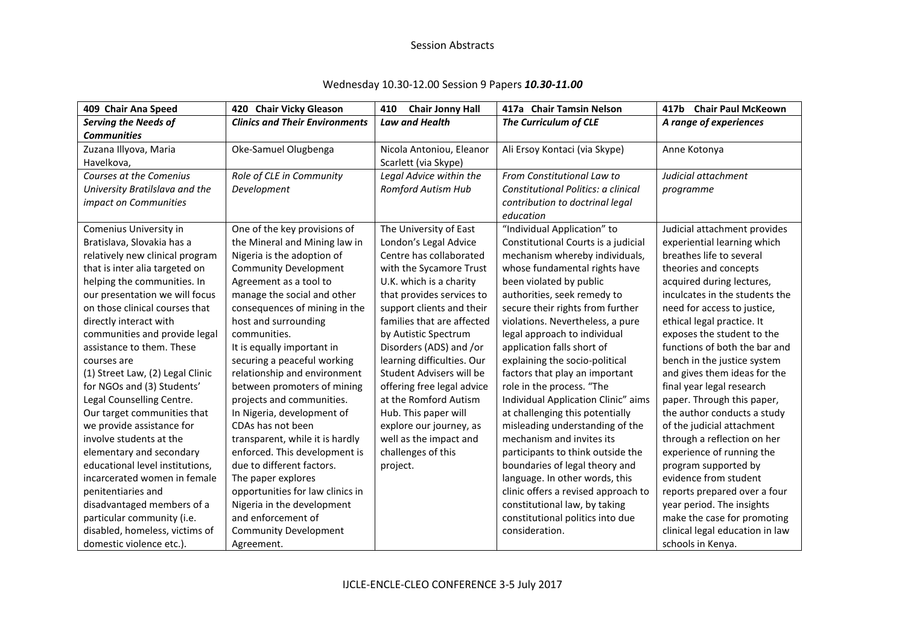# Wednesday 10.30-12.00 Session 9 Papers *10.30-11.00*

| 409 Chair Ana Speed              | 420 Chair Vicky Gleason               | <b>Chair Jonny Hall</b><br>410 | 417a Chair Tamsin Nelson            | 417b Chair Paul McKeown         |
|----------------------------------|---------------------------------------|--------------------------------|-------------------------------------|---------------------------------|
| <b>Serving the Needs of</b>      | <b>Clinics and Their Environments</b> | <b>Law and Health</b>          | The Curriculum of CLE               | A range of experiences          |
| <b>Communities</b>               |                                       |                                |                                     |                                 |
| Zuzana Illyova, Maria            | Oke-Samuel Olugbenga                  | Nicola Antoniou, Eleanor       | Ali Ersoy Kontaci (via Skype)       | Anne Kotonya                    |
| Havelkova,                       |                                       | Scarlett (via Skype)           |                                     |                                 |
| Courses at the Comenius          | Role of CLE in Community              | Legal Advice within the        | From Constitutional Law to          | Judicial attachment             |
| University Bratilslava and the   | Development                           | <b>Romford Autism Hub</b>      | Constitutional Politics: a clinical | programme                       |
| impact on Communities            |                                       |                                | contribution to doctrinal legal     |                                 |
|                                  |                                       |                                | education                           |                                 |
| Comenius University in           | One of the key provisions of          | The University of East         | "Individual Application" to         | Judicial attachment provides    |
| Bratislava, Slovakia has a       | the Mineral and Mining law in         | London's Legal Advice          | Constitutional Courts is a judicial | experiential learning which     |
| relatively new clinical program  | Nigeria is the adoption of            | Centre has collaborated        | mechanism whereby individuals,      | breathes life to several        |
| that is inter alia targeted on   | <b>Community Development</b>          | with the Sycamore Trust        | whose fundamental rights have       | theories and concepts           |
| helping the communities. In      | Agreement as a tool to                | U.K. which is a charity        | been violated by public             | acquired during lectures,       |
| our presentation we will focus   | manage the social and other           | that provides services to      | authorities, seek remedy to         | inculcates in the students the  |
| on those clinical courses that   | consequences of mining in the         | support clients and their      | secure their rights from further    | need for access to justice,     |
| directly interact with           | host and surrounding                  | families that are affected     | violations. Nevertheless, a pure    | ethical legal practice. It      |
| communities and provide legal    | communities.                          | by Autistic Spectrum           | legal approach to individual        | exposes the student to the      |
| assistance to them. These        | It is equally important in            | Disorders (ADS) and /or        | application falls short of          | functions of both the bar and   |
| courses are                      | securing a peaceful working           | learning difficulties. Our     | explaining the socio-political      | bench in the justice system     |
| (1) Street Law, (2) Legal Clinic | relationship and environment          | Student Advisers will be       | factors that play an important      | and gives them ideas for the    |
| for NGOs and (3) Students'       | between promoters of mining           | offering free legal advice     | role in the process. "The           | final year legal research       |
| Legal Counselling Centre.        | projects and communities.             | at the Romford Autism          | Individual Application Clinic" aims | paper. Through this paper,      |
| Our target communities that      | In Nigeria, development of            | Hub. This paper will           | at challenging this potentially     | the author conducts a study     |
| we provide assistance for        | CDAs has not been                     | explore our journey, as        | misleading understanding of the     | of the judicial attachment      |
| involve students at the          | transparent, while it is hardly       | well as the impact and         | mechanism and invites its           | through a reflection on her     |
| elementary and secondary         | enforced. This development is         | challenges of this             | participants to think outside the   | experience of running the       |
| educational level institutions,  | due to different factors.             | project.                       | boundaries of legal theory and      | program supported by            |
| incarcerated women in female     | The paper explores                    |                                | language. In other words, this      | evidence from student           |
| penitentiaries and               | opportunities for law clinics in      |                                | clinic offers a revised approach to | reports prepared over a four    |
| disadvantaged members of a       | Nigeria in the development            |                                | constitutional law, by taking       | year period. The insights       |
| particular community (i.e.       | and enforcement of                    |                                | constitutional politics into due    | make the case for promoting     |
| disabled, homeless, victims of   | <b>Community Development</b>          |                                | consideration.                      | clinical legal education in law |
| domestic violence etc.).         | Agreement.                            |                                |                                     | schools in Kenya.               |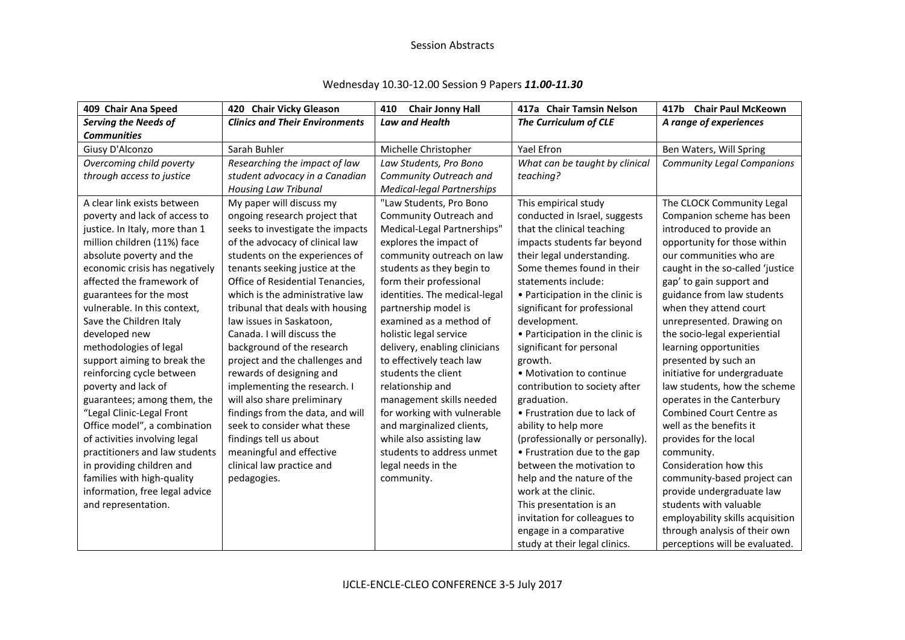# Wednesday 10.30-12.00 Session 9 Papers *11.00-11.30*

| 409 Chair Ana Speed            | 420 Chair Vicky Gleason               | <b>Chair Jonny Hall</b><br>410    | 417a Chair Tamsin Nelson         | 417b Chair Paul McKeown           |
|--------------------------------|---------------------------------------|-----------------------------------|----------------------------------|-----------------------------------|
| <b>Serving the Needs of</b>    | <b>Clinics and Their Environments</b> | <b>Law and Health</b>             | The Curriculum of CLE            | A range of experiences            |
| <b>Communities</b>             |                                       |                                   |                                  |                                   |
| Giusy D'Alconzo                | Sarah Buhler                          | Michelle Christopher              | Yael Efron                       | Ben Waters, Will Spring           |
| Overcoming child poverty       | Researching the impact of law         | Law Students, Pro Bono            | What can be taught by clinical   | <b>Community Legal Companions</b> |
| through access to justice      | student advocacy in a Canadian        | Community Outreach and            | teaching?                        |                                   |
|                                | <b>Housing Law Tribunal</b>           | <b>Medical-legal Partnerships</b> |                                  |                                   |
| A clear link exists between    | My paper will discuss my              | "Law Students, Pro Bono           | This empirical study             | The CLOCK Community Legal         |
| poverty and lack of access to  | ongoing research project that         | Community Outreach and            | conducted in Israel, suggests    | Companion scheme has been         |
| justice. In Italy, more than 1 | seeks to investigate the impacts      | Medical-Legal Partnerships"       | that the clinical teaching       | introduced to provide an          |
| million children (11%) face    | of the advocacy of clinical law       | explores the impact of            | impacts students far beyond      | opportunity for those within      |
| absolute poverty and the       | students on the experiences of        | community outreach on law         | their legal understanding.       | our communities who are           |
| economic crisis has negatively | tenants seeking justice at the        | students as they begin to         | Some themes found in their       | caught in the so-called 'justice  |
| affected the framework of      | Office of Residential Tenancies,      | form their professional           | statements include:              | gap' to gain support and          |
| guarantees for the most        | which is the administrative law       | identities. The medical-legal     | • Participation in the clinic is | guidance from law students        |
| vulnerable. In this context,   | tribunal that deals with housing      | partnership model is              | significant for professional     | when they attend court            |
| Save the Children Italy        | law issues in Saskatoon,              | examined as a method of           | development.                     | unrepresented. Drawing on         |
| developed new                  | Canada. I will discuss the            | holistic legal service            | • Participation in the clinic is | the socio-legal experiential      |
| methodologies of legal         | background of the research            | delivery, enabling clinicians     | significant for personal         | learning opportunities            |
| support aiming to break the    | project and the challenges and        | to effectively teach law          | growth.                          | presented by such an              |
| reinforcing cycle between      | rewards of designing and              | students the client               | • Motivation to continue         | initiative for undergraduate      |
| poverty and lack of            | implementing the research. I          | relationship and                  | contribution to society after    | law students, how the scheme      |
| guarantees; among them, the    | will also share preliminary           | management skills needed          | graduation.                      | operates in the Canterbury        |
| "Legal Clinic-Legal Front      | findings from the data, and will      | for working with vulnerable       | • Frustration due to lack of     | <b>Combined Court Centre as</b>   |
| Office model", a combination   | seek to consider what these           | and marginalized clients,         | ability to help more             | well as the benefits it           |
| of activities involving legal  | findings tell us about                | while also assisting law          | (professionally or personally).  | provides for the local            |
| practitioners and law students | meaningful and effective              | students to address unmet         | • Frustration due to the gap     | community.                        |
| in providing children and      | clinical law practice and             | legal needs in the                | between the motivation to        | Consideration how this            |
| families with high-quality     | pedagogies.                           | community.                        | help and the nature of the       | community-based project can       |
| information, free legal advice |                                       |                                   | work at the clinic.              | provide undergraduate law         |
| and representation.            |                                       |                                   | This presentation is an          | students with valuable            |
|                                |                                       |                                   | invitation for colleagues to     | employability skills acquisition  |
|                                |                                       |                                   | engage in a comparative          | through analysis of their own     |
|                                |                                       |                                   | study at their legal clinics.    | perceptions will be evaluated.    |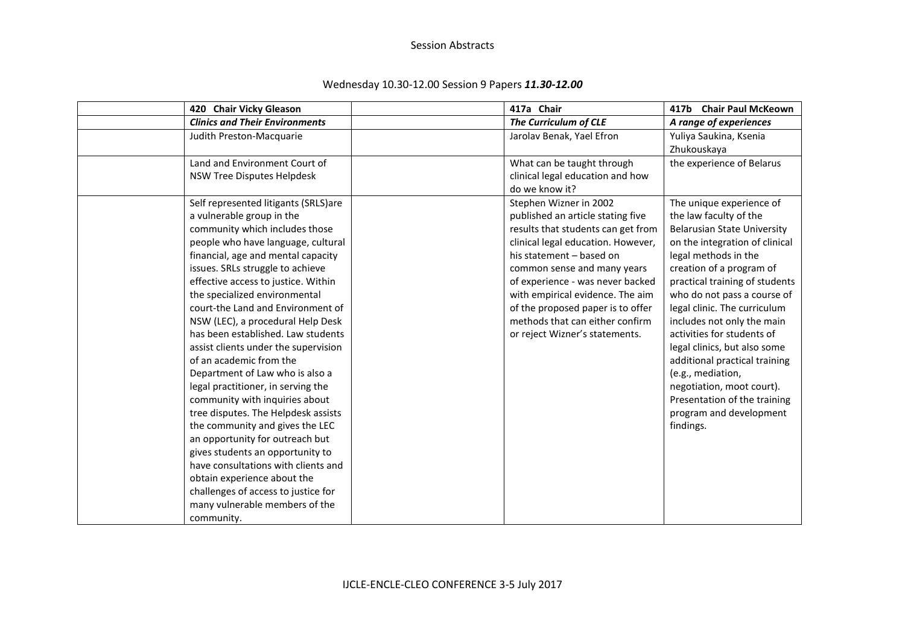# Wednesday 10.30-12.00 Session 9 Papers *11.30-12.00*

| The Curriculum of CLE                                                                                                                                                                                                                                                                                                                                                                | A range of experiences                                                                                                                                                                                                                                                                                                                                                                                                                                                                                                                 |
|--------------------------------------------------------------------------------------------------------------------------------------------------------------------------------------------------------------------------------------------------------------------------------------------------------------------------------------------------------------------------------------|----------------------------------------------------------------------------------------------------------------------------------------------------------------------------------------------------------------------------------------------------------------------------------------------------------------------------------------------------------------------------------------------------------------------------------------------------------------------------------------------------------------------------------------|
| Jarolav Benak, Yael Efron                                                                                                                                                                                                                                                                                                                                                            | Yuliya Saukina, Ksenia<br>Zhukouskaya                                                                                                                                                                                                                                                                                                                                                                                                                                                                                                  |
| What can be taught through<br>clinical legal education and how<br>do we know it?                                                                                                                                                                                                                                                                                                     | the experience of Belarus                                                                                                                                                                                                                                                                                                                                                                                                                                                                                                              |
| Stephen Wizner in 2002<br>published an article stating five<br>results that students can get from<br>clinical legal education. However,<br>his statement - based on<br>common sense and many years<br>of experience - was never backed<br>with empirical evidence. The aim<br>of the proposed paper is to offer<br>methods that can either confirm<br>or reject Wizner's statements. | The unique experience of<br>the law faculty of the<br><b>Belarusian State University</b><br>on the integration of clinical<br>legal methods in the<br>creation of a program of<br>practical training of students<br>who do not pass a course of<br>legal clinic. The curriculum<br>includes not only the main<br>activities for students of<br>legal clinics, but also some<br>additional practical training<br>(e.g., mediation,<br>negotiation, moot court).<br>Presentation of the training<br>program and development<br>findings. |
|                                                                                                                                                                                                                                                                                                                                                                                      |                                                                                                                                                                                                                                                                                                                                                                                                                                                                                                                                        |